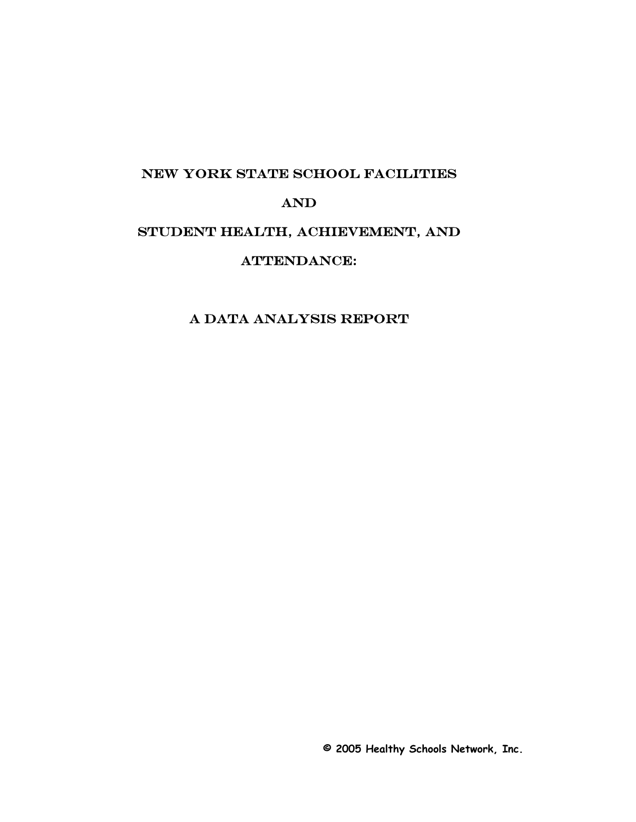#### NEW YORK STATE SCHOOL FACILITIES

### and

# STUDENT HEALTH, ACHIEVEMENT, AND

## ATTENDANCE:

## A Data Analysis report

**© 2005 Healthy Schools Network, Inc.**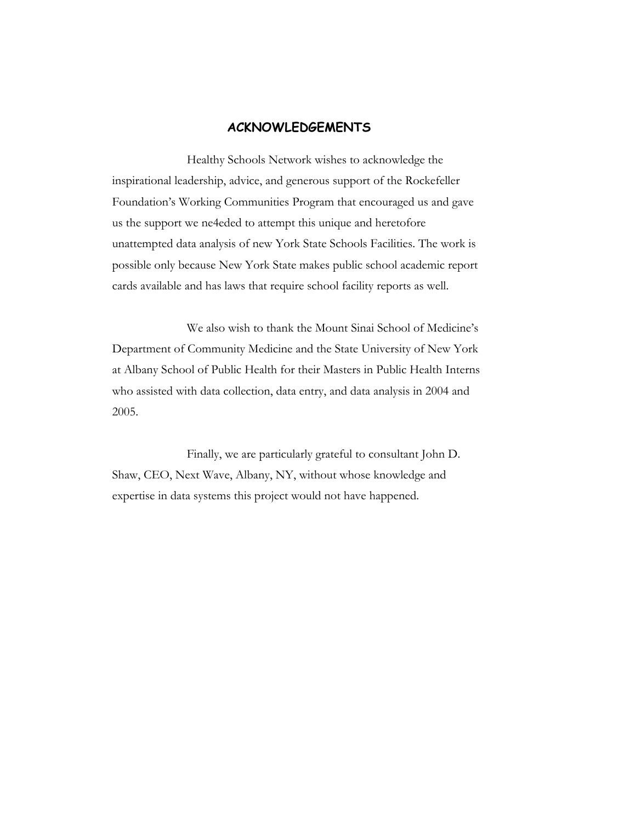#### **ACKNOWLEDGEMENTS**

Healthy Schools Network wishes to acknowledge the inspirational leadership, advice, and generous support of the Rockefeller Foundation's Working Communities Program that encouraged us and gave us the support we ne4eded to attempt this unique and heretofore unattempted data analysis of new York State Schools Facilities. The work is possible only because New York State makes public school academic report cards available and has laws that require school facility reports as well.

We also wish to thank the Mount Sinai School of Medicine's Department of Community Medicine and the State University of New York at Albany School of Public Health for their Masters in Public Health Interns who assisted with data collection, data entry, and data analysis in 2004 and 2005.

Finally, we are particularly grateful to consultant John D. Shaw, CEO, Next Wave, Albany, NY, without whose knowledge and expertise in data systems this project would not have happened.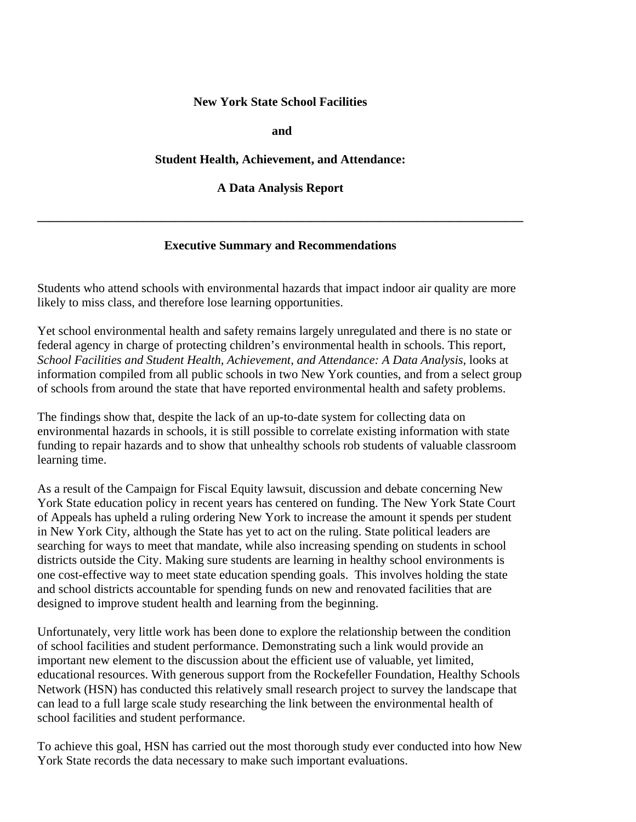#### **New York State School Facilities**

 **and** 

#### **Student Health, Achievement, and Attendance:**

**A Data Analysis Report** 

**\_\_\_\_\_\_\_\_\_\_\_\_\_\_\_\_\_\_\_\_\_\_\_\_\_\_\_\_\_\_\_\_\_\_\_\_\_\_\_\_\_\_\_\_\_\_\_\_\_\_\_\_\_\_\_\_\_\_\_\_\_\_\_\_\_\_\_\_\_\_\_\_\_\_\_\_\_\_** 

#### **Executive Summary and Recommendations**

Students who attend schools with environmental hazards that impact indoor air quality are more likely to miss class, and therefore lose learning opportunities.

Yet school environmental health and safety remains largely unregulated and there is no state or federal agency in charge of protecting children's environmental health in schools. This report, *School Facilities and Student Health, Achievement, and Attendance: A Data Analysis*, looks at information compiled from all public schools in two New York counties, and from a select group of schools from around the state that have reported environmental health and safety problems.

The findings show that, despite the lack of an up-to-date system for collecting data on environmental hazards in schools, it is still possible to correlate existing information with state funding to repair hazards and to show that unhealthy schools rob students of valuable classroom learning time.

As a result of the Campaign for Fiscal Equity lawsuit, discussion and debate concerning New York State education policy in recent years has centered on funding. The New York State Court of Appeals has upheld a ruling ordering New York to increase the amount it spends per student in New York City, although the State has yet to act on the ruling. State political leaders are searching for ways to meet that mandate, while also increasing spending on students in school districts outside the City. Making sure students are learning in healthy school environments is one cost-effective way to meet state education spending goals. This involves holding the state and school districts accountable for spending funds on new and renovated facilities that are designed to improve student health and learning from the beginning.

Unfortunately, very little work has been done to explore the relationship between the condition of school facilities and student performance. Demonstrating such a link would provide an important new element to the discussion about the efficient use of valuable, yet limited, educational resources. With generous support from the Rockefeller Foundation, Healthy Schools Network (HSN) has conducted this relatively small research project to survey the landscape that can lead to a full large scale study researching the link between the environmental health of school facilities and student performance.

To achieve this goal, HSN has carried out the most thorough study ever conducted into how New York State records the data necessary to make such important evaluations.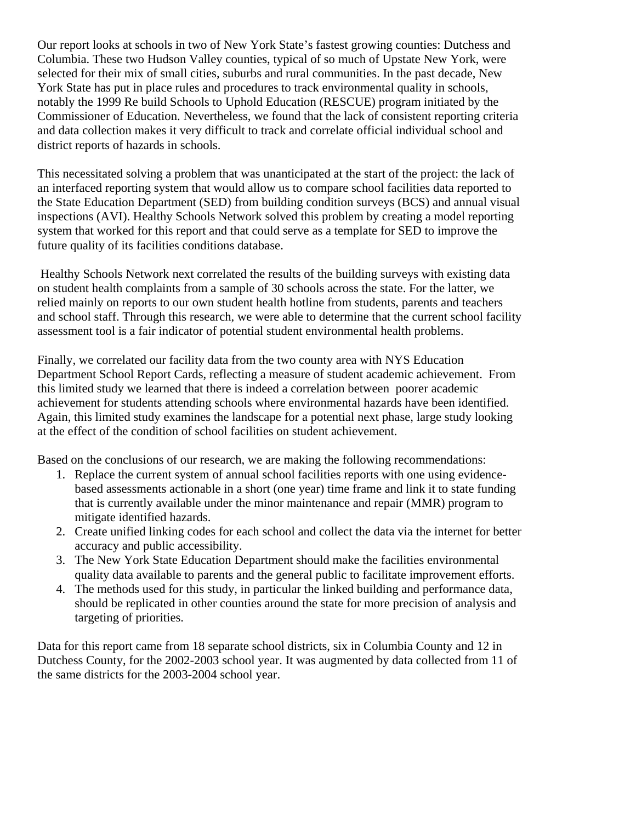Our report looks at schools in two of New York State's fastest growing counties: Dutchess and Columbia. These two Hudson Valley counties, typical of so much of Upstate New York, were selected for their mix of small cities, suburbs and rural communities. In the past decade, New York State has put in place rules and procedures to track environmental quality in schools, notably the 1999 Re build Schools to Uphold Education (RESCUE) program initiated by the Commissioner of Education. Nevertheless, we found that the lack of consistent reporting criteria and data collection makes it very difficult to track and correlate official individual school and district reports of hazards in schools.

This necessitated solving a problem that was unanticipated at the start of the project: the lack of an interfaced reporting system that would allow us to compare school facilities data reported to the State Education Department (SED) from building condition surveys (BCS) and annual visual inspections (AVI). Healthy Schools Network solved this problem by creating a model reporting system that worked for this report and that could serve as a template for SED to improve the future quality of its facilities conditions database.

 Healthy Schools Network next correlated the results of the building surveys with existing data on student health complaints from a sample of 30 schools across the state. For the latter, we relied mainly on reports to our own student health hotline from students, parents and teachers and school staff. Through this research, we were able to determine that the current school facility assessment tool is a fair indicator of potential student environmental health problems.

Finally, we correlated our facility data from the two county area with NYS Education Department School Report Cards, reflecting a measure of student academic achievement. From this limited study we learned that there is indeed a correlation between poorer academic achievement for students attending schools where environmental hazards have been identified. Again, this limited study examines the landscape for a potential next phase, large study looking at the effect of the condition of school facilities on student achievement.

Based on the conclusions of our research, we are making the following recommendations:

- 1. Replace the current system of annual school facilities reports with one using evidencebased assessments actionable in a short (one year) time frame and link it to state funding that is currently available under the minor maintenance and repair (MMR) program to mitigate identified hazards.
- 2. Create unified linking codes for each school and collect the data via the internet for better accuracy and public accessibility.
- 3. The New York State Education Department should make the facilities environmental quality data available to parents and the general public to facilitate improvement efforts.
- 4. The methods used for this study, in particular the linked building and performance data, should be replicated in other counties around the state for more precision of analysis and targeting of priorities.

Data for this report came from 18 separate school districts, six in Columbia County and 12 in Dutchess County, for the 2002-2003 school year. It was augmented by data collected from 11 of the same districts for the 2003-2004 school year.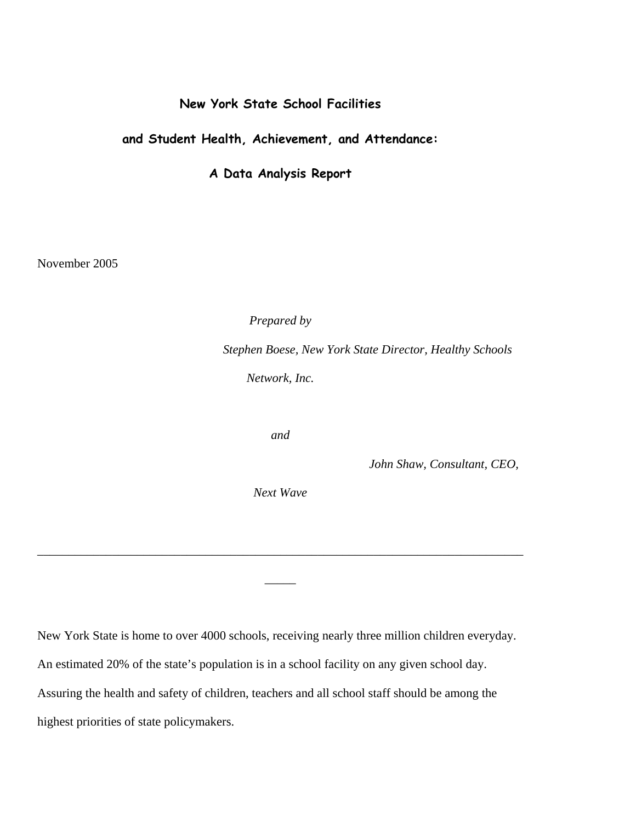### **New York State School Facilities**

### **and Student Health, Achievement, and Attendance:**

**A Data Analysis Report**

November 2005

*Prepared by* 

 *Stephen Boese, New York State Director, Healthy Schools Network, Inc.* 

*and* 

 *John Shaw, Consultant, CEO,* 

*Next Wave* 

*\_\_\_\_\_\_\_\_\_\_\_\_\_\_\_\_\_\_\_\_\_\_\_\_\_\_\_\_\_\_\_\_\_\_\_\_\_\_\_\_\_\_\_\_\_\_\_\_\_\_\_\_\_\_\_\_\_\_\_\_\_\_\_\_\_\_\_\_\_\_\_\_\_\_\_\_\_\_*

*\_\_\_\_\_* 

New York State is home to over 4000 schools, receiving nearly three million children everyday. An estimated 20% of the state's population is in a school facility on any given school day. Assuring the health and safety of children, teachers and all school staff should be among the highest priorities of state policymakers.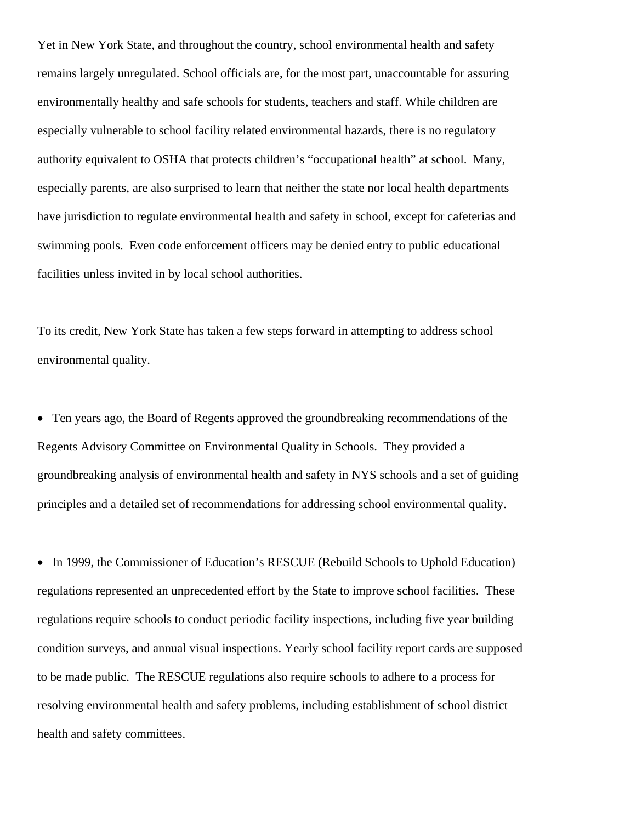Yet in New York State, and throughout the country, school environmental health and safety remains largely unregulated. School officials are, for the most part, unaccountable for assuring environmentally healthy and safe schools for students, teachers and staff. While children are especially vulnerable to school facility related environmental hazards, there is no regulatory authority equivalent to OSHA that protects children's "occupational health" at school. Many, especially parents, are also surprised to learn that neither the state nor local health departments have jurisdiction to regulate environmental health and safety in school, except for cafeterias and swimming pools. Even code enforcement officers may be denied entry to public educational facilities unless invited in by local school authorities.

To its credit, New York State has taken a few steps forward in attempting to address school environmental quality.

• Ten years ago, the Board of Regents approved the groundbreaking recommendations of the Regents Advisory Committee on Environmental Quality in Schools. They provided a groundbreaking analysis of environmental health and safety in NYS schools and a set of guiding principles and a detailed set of recommendations for addressing school environmental quality.

• In 1999, the Commissioner of Education's RESCUE (Rebuild Schools to Uphold Education) regulations represented an unprecedented effort by the State to improve school facilities. These regulations require schools to conduct periodic facility inspections, including five year building condition surveys, and annual visual inspections. Yearly school facility report cards are supposed to be made public. The RESCUE regulations also require schools to adhere to a process for resolving environmental health and safety problems, including establishment of school district health and safety committees.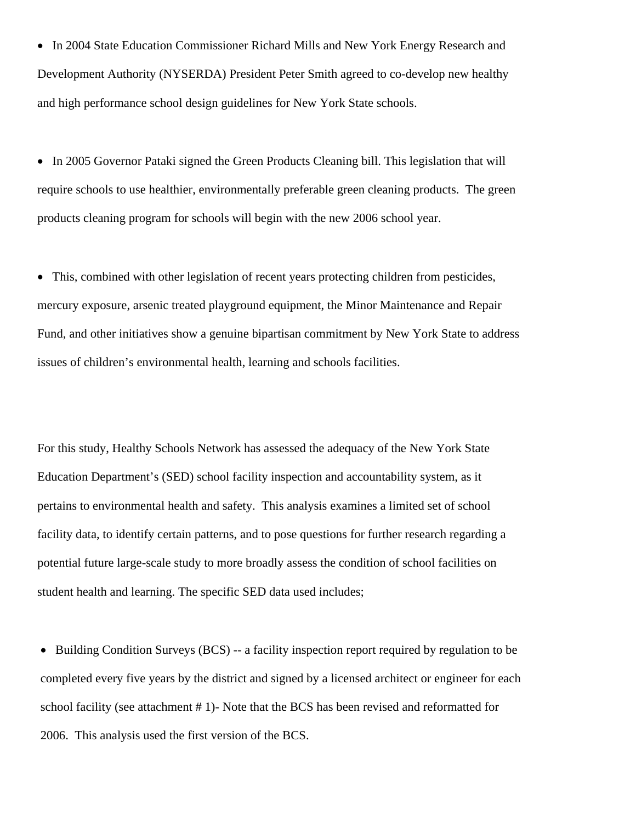• In 2004 State Education Commissioner Richard Mills and New York Energy Research and Development Authority (NYSERDA) President Peter Smith agreed to co-develop new healthy and high performance school design guidelines for New York State schools.

• In 2005 Governor Pataki signed the Green Products Cleaning bill. This legislation that will require schools to use healthier, environmentally preferable green cleaning products. The green products cleaning program for schools will begin with the new 2006 school year.

• This, combined with other legislation of recent years protecting children from pesticides, mercury exposure, arsenic treated playground equipment, the Minor Maintenance and Repair Fund, and other initiatives show a genuine bipartisan commitment by New York State to address issues of children's environmental health, learning and schools facilities.

For this study, Healthy Schools Network has assessed the adequacy of the New York State Education Department's (SED) school facility inspection and accountability system, as it pertains to environmental health and safety. This analysis examines a limited set of school facility data, to identify certain patterns, and to pose questions for further research regarding a potential future large-scale study to more broadly assess the condition of school facilities on student health and learning. The specific SED data used includes;

• Building Condition Surveys (BCS) -- a facility inspection report required by regulation to be completed every five years by the district and signed by a licensed architect or engineer for each school facility (see attachment # 1)- Note that the BCS has been revised and reformatted for 2006. This analysis used the first version of the BCS.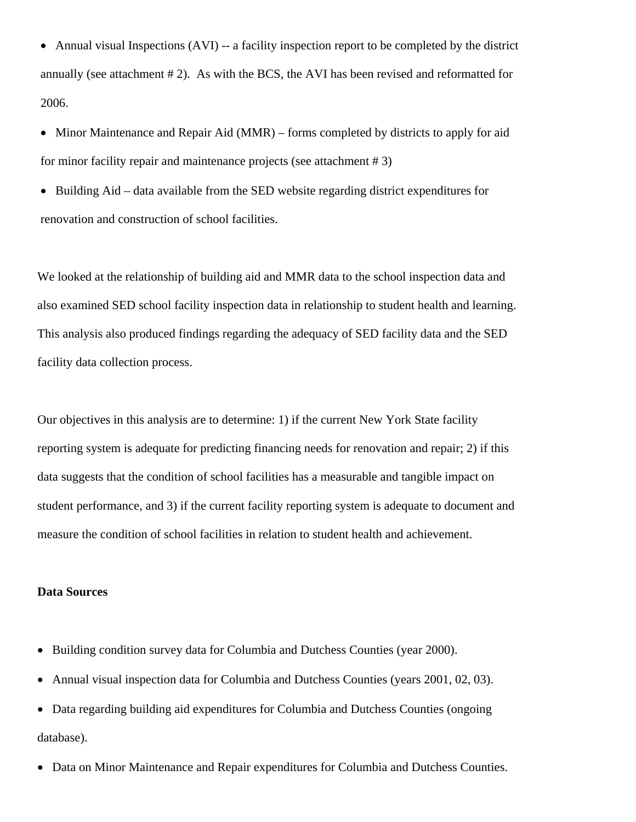• Annual visual Inspections (AVI) -- a facility inspection report to be completed by the district annually (see attachment # 2). As with the BCS, the AVI has been revised and reformatted for 2006.

• Minor Maintenance and Repair Aid (MMR) – forms completed by districts to apply for aid for minor facility repair and maintenance projects (see attachment # 3)

• Building Aid – data available from the SED website regarding district expenditures for renovation and construction of school facilities.

We looked at the relationship of building aid and MMR data to the school inspection data and also examined SED school facility inspection data in relationship to student health and learning. This analysis also produced findings regarding the adequacy of SED facility data and the SED facility data collection process.

Our objectives in this analysis are to determine: 1) if the current New York State facility reporting system is adequate for predicting financing needs for renovation and repair; 2) if this data suggests that the condition of school facilities has a measurable and tangible impact on student performance, and 3) if the current facility reporting system is adequate to document and measure the condition of school facilities in relation to student health and achievement.

#### **Data Sources**

- Building condition survey data for Columbia and Dutchess Counties (year 2000).
- Annual visual inspection data for Columbia and Dutchess Counties (years 2001, 02, 03).
- Data regarding building aid expenditures for Columbia and Dutchess Counties (ongoing database).
- Data on Minor Maintenance and Repair expenditures for Columbia and Dutchess Counties.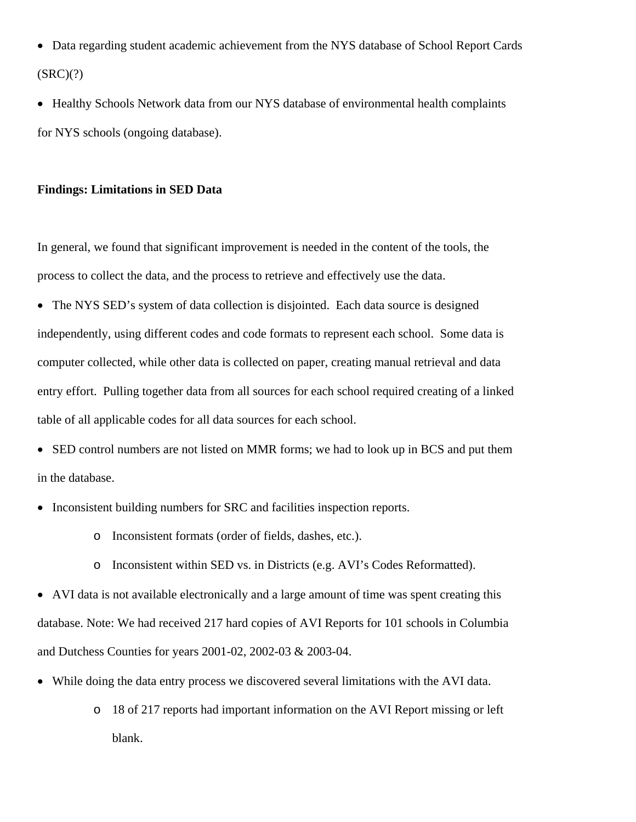- Data regarding student academic achievement from the NYS database of School Report Cards  $(SRC)(?)$
- Healthy Schools Network data from our NYS database of environmental health complaints for NYS schools (ongoing database).

#### **Findings: Limitations in SED Data**

In general, we found that significant improvement is needed in the content of the tools, the process to collect the data, and the process to retrieve and effectively use the data.

• The NYS SED's system of data collection is disjointed. Each data source is designed

independently, using different codes and code formats to represent each school. Some data is computer collected, while other data is collected on paper, creating manual retrieval and data entry effort. Pulling together data from all sources for each school required creating of a linked table of all applicable codes for all data sources for each school.

• SED control numbers are not listed on MMR forms; we had to look up in BCS and put them in the database.

- Inconsistent building numbers for SRC and facilities inspection reports.
	- o Inconsistent formats (order of fields, dashes, etc.).
	- o Inconsistent within SED vs. in Districts (e.g. AVI's Codes Reformatted).

• AVI data is not available electronically and a large amount of time was spent creating this database. Note: We had received 217 hard copies of AVI Reports for 101 schools in Columbia and Dutchess Counties for years 2001-02, 2002-03 & 2003-04.

- While doing the data entry process we discovered several limitations with the AVI data.
	- o 18 of 217 reports had important information on the AVI Report missing or left blank.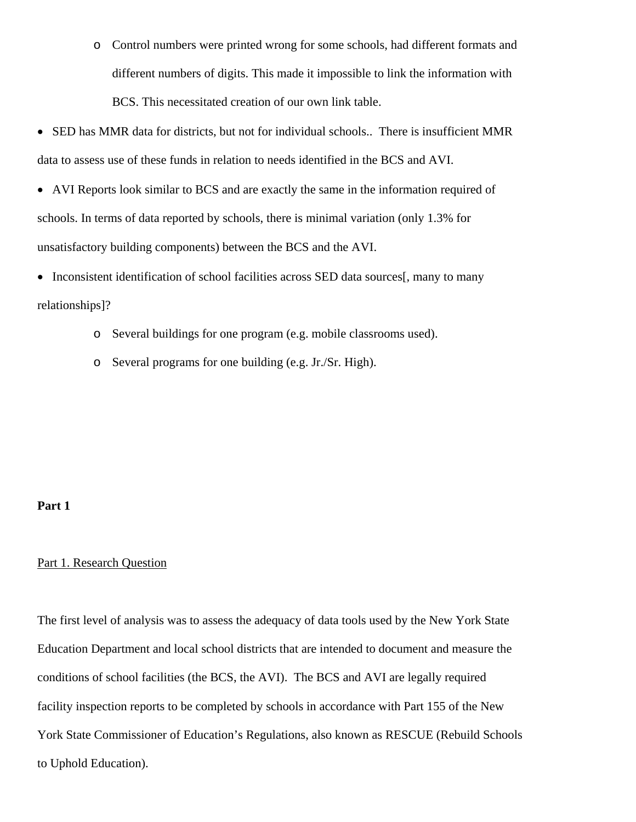- o Control numbers were printed wrong for some schools, had different formats and different numbers of digits. This made it impossible to link the information with BCS. This necessitated creation of our own link table.
- SED has MMR data for districts, but not for individual schools.. There is insufficient MMR data to assess use of these funds in relation to needs identified in the BCS and AVI.
- AVI Reports look similar to BCS and are exactly the same in the information required of schools. In terms of data reported by schools, there is minimal variation (only 1.3% for unsatisfactory building components) between the BCS and the AVI.

• Inconsistent identification of school facilities across SED data sources[, many to many relationships]?

- o Several buildings for one program (e.g. mobile classrooms used).
- o Several programs for one building (e.g. Jr./Sr. High).

#### **Part 1**

#### Part 1. Research Question

The first level of analysis was to assess the adequacy of data tools used by the New York State Education Department and local school districts that are intended to document and measure the conditions of school facilities (the BCS, the AVI). The BCS and AVI are legally required facility inspection reports to be completed by schools in accordance with Part 155 of the New York State Commissioner of Education's Regulations, also known as RESCUE (Rebuild Schools to Uphold Education).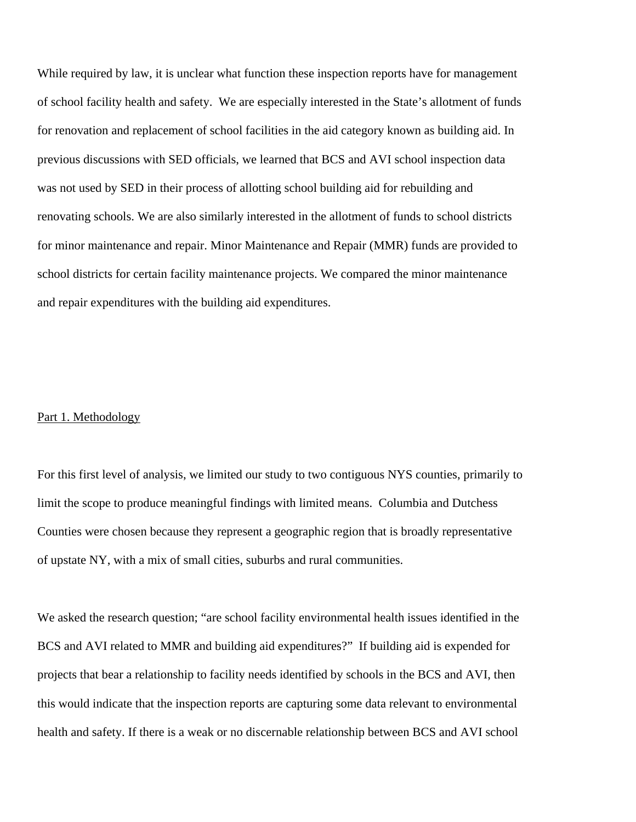While required by law, it is unclear what function these inspection reports have for management of school facility health and safety. We are especially interested in the State's allotment of funds for renovation and replacement of school facilities in the aid category known as building aid. In previous discussions with SED officials, we learned that BCS and AVI school inspection data was not used by SED in their process of allotting school building aid for rebuilding and renovating schools. We are also similarly interested in the allotment of funds to school districts for minor maintenance and repair. Minor Maintenance and Repair (MMR) funds are provided to school districts for certain facility maintenance projects. We compared the minor maintenance and repair expenditures with the building aid expenditures.

#### Part 1. Methodology

For this first level of analysis, we limited our study to two contiguous NYS counties, primarily to limit the scope to produce meaningful findings with limited means. Columbia and Dutchess Counties were chosen because they represent a geographic region that is broadly representative of upstate NY, with a mix of small cities, suburbs and rural communities.

We asked the research question; "are school facility environmental health issues identified in the BCS and AVI related to MMR and building aid expenditures?" If building aid is expended for projects that bear a relationship to facility needs identified by schools in the BCS and AVI, then this would indicate that the inspection reports are capturing some data relevant to environmental health and safety. If there is a weak or no discernable relationship between BCS and AVI school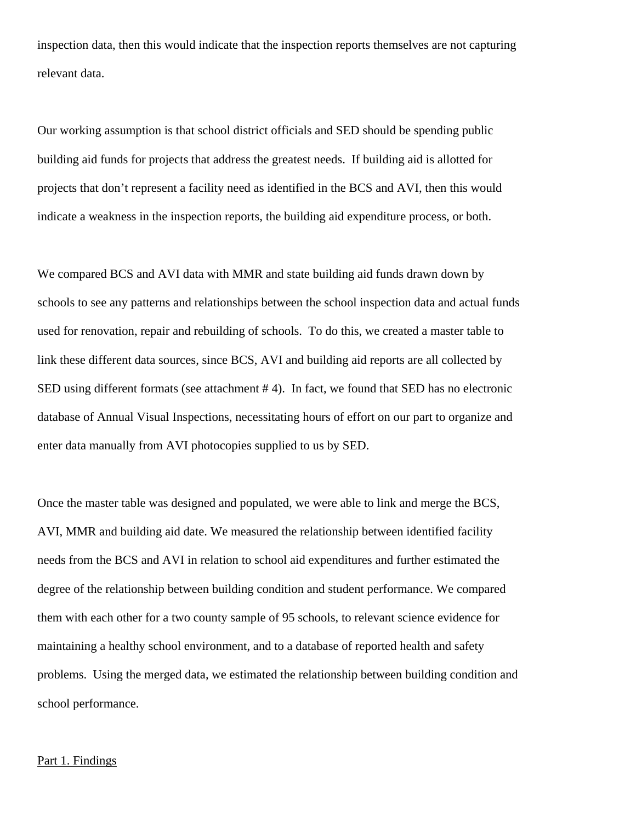inspection data, then this would indicate that the inspection reports themselves are not capturing relevant data.

Our working assumption is that school district officials and SED should be spending public building aid funds for projects that address the greatest needs. If building aid is allotted for projects that don't represent a facility need as identified in the BCS and AVI, then this would indicate a weakness in the inspection reports, the building aid expenditure process, or both.

We compared BCS and AVI data with MMR and state building aid funds drawn down by schools to see any patterns and relationships between the school inspection data and actual funds used for renovation, repair and rebuilding of schools. To do this, we created a master table to link these different data sources, since BCS, AVI and building aid reports are all collected by SED using different formats (see attachment #4). In fact, we found that SED has no electronic database of Annual Visual Inspections, necessitating hours of effort on our part to organize and enter data manually from AVI photocopies supplied to us by SED.

Once the master table was designed and populated, we were able to link and merge the BCS, AVI, MMR and building aid date. We measured the relationship between identified facility needs from the BCS and AVI in relation to school aid expenditures and further estimated the degree of the relationship between building condition and student performance. We compared them with each other for a two county sample of 95 schools, to relevant science evidence for maintaining a healthy school environment, and to a database of reported health and safety problems. Using the merged data, we estimated the relationship between building condition and school performance.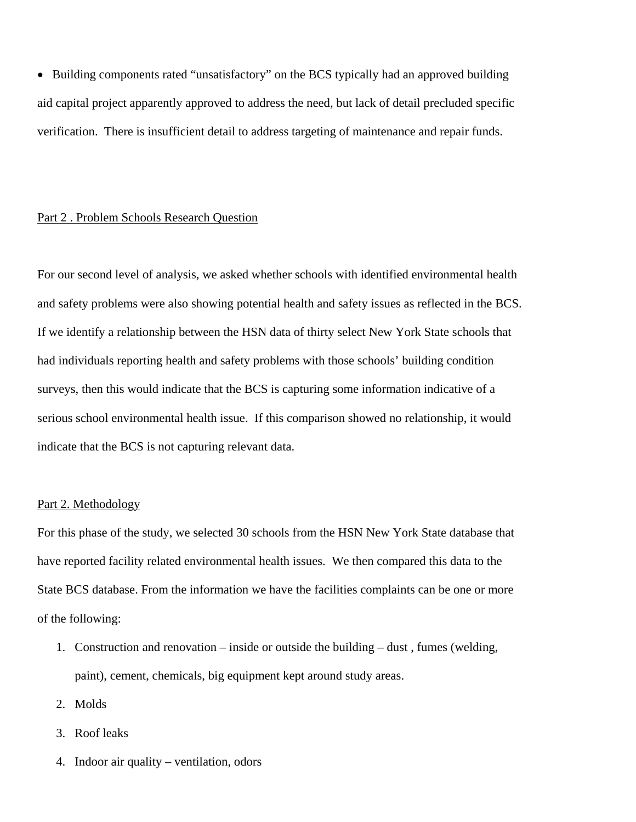• Building components rated "unsatisfactory" on the BCS typically had an approved building aid capital project apparently approved to address the need, but lack of detail precluded specific verification. There is insufficient detail to address targeting of maintenance and repair funds.

#### Part 2 . Problem Schools Research Question

For our second level of analysis, we asked whether schools with identified environmental health and safety problems were also showing potential health and safety issues as reflected in the BCS. If we identify a relationship between the HSN data of thirty select New York State schools that had individuals reporting health and safety problems with those schools' building condition surveys, then this would indicate that the BCS is capturing some information indicative of a serious school environmental health issue. If this comparison showed no relationship, it would indicate that the BCS is not capturing relevant data.

#### Part 2. Methodology

For this phase of the study, we selected 30 schools from the HSN New York State database that have reported facility related environmental health issues. We then compared this data to the State BCS database. From the information we have the facilities complaints can be one or more of the following:

- 1. Construction and renovation inside or outside the building dust , fumes (welding, paint), cement, chemicals, big equipment kept around study areas.
- 2. Molds
- 3. Roof leaks
- 4. Indoor air quality ventilation, odors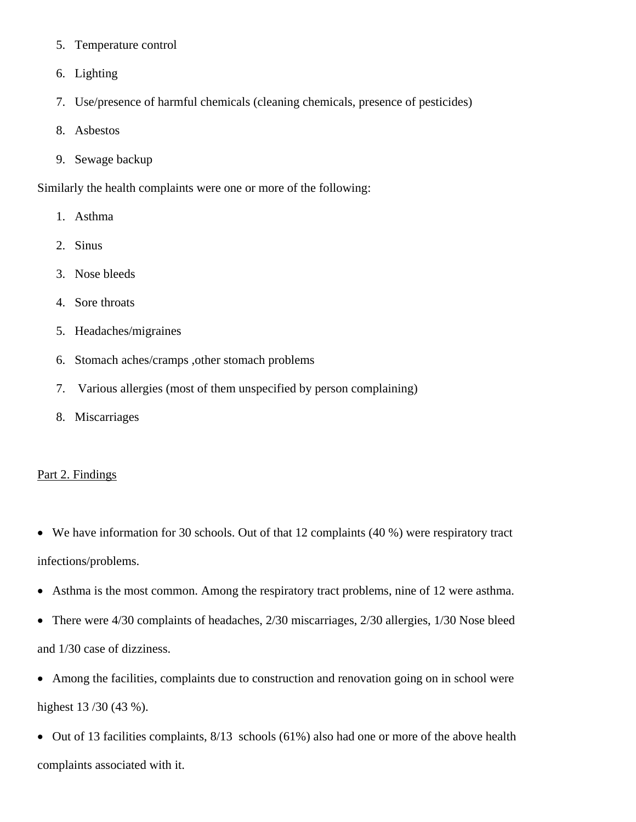- 5. Temperature control
- 6. Lighting
- 7. Use/presence of harmful chemicals (cleaning chemicals, presence of pesticides)
- 8. Asbestos
- 9. Sewage backup

Similarly the health complaints were one or more of the following:

- 1. Asthma
- 2. Sinus
- 3. Nose bleeds
- 4. Sore throats
- 5. Headaches/migraines
- 6. Stomach aches/cramps ,other stomach problems
- 7. Various allergies (most of them unspecified by person complaining)
- 8. Miscarriages

#### Part 2. Findings

- We have information for 30 schools. Out of that 12 complaints (40 %) were respiratory tract infections/problems.
- Asthma is the most common. Among the respiratory tract problems, nine of 12 were asthma.
- There were 4/30 complaints of headaches, 2/30 miscarriages, 2/30 allergies, 1/30 Nose bleed and 1/30 case of dizziness.
- Among the facilities, complaints due to construction and renovation going on in school were

highest 13 /30 (43 %).

• Out of 13 facilities complaints, 8/13 schools (61%) also had one or more of the above health complaints associated with it.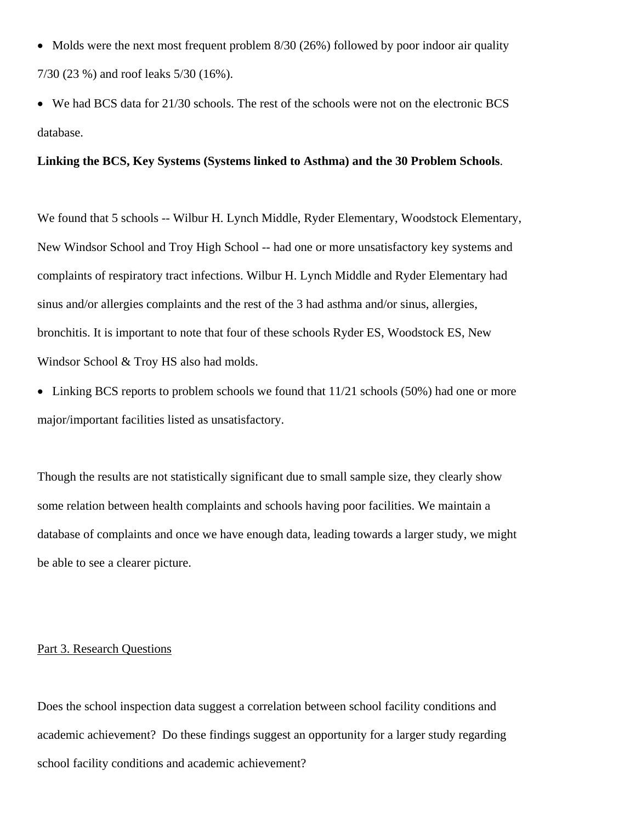- Molds were the next most frequent problem 8/30 (26%) followed by poor indoor air quality 7/30 (23 %) and roof leaks 5/30 (16%).
- We had BCS data for 21/30 schools. The rest of the schools were not on the electronic BCS database.

#### **Linking the BCS, Key Systems (Systems linked to Asthma) and the 30 Problem Schools**.

We found that 5 schools -- Wilbur H. Lynch Middle, Ryder Elementary, Woodstock Elementary, New Windsor School and Troy High School -- had one or more unsatisfactory key systems and complaints of respiratory tract infections. Wilbur H. Lynch Middle and Ryder Elementary had sinus and/or allergies complaints and the rest of the 3 had asthma and/or sinus, allergies, bronchitis. It is important to note that four of these schools Ryder ES, Woodstock ES, New Windsor School & Troy HS also had molds.

• Linking BCS reports to problem schools we found that  $11/21$  schools (50%) had one or more major/important facilities listed as unsatisfactory.

Though the results are not statistically significant due to small sample size, they clearly show some relation between health complaints and schools having poor facilities. We maintain a database of complaints and once we have enough data, leading towards a larger study, we might be able to see a clearer picture.

#### Part 3. Research Questions

Does the school inspection data suggest a correlation between school facility conditions and academic achievement? Do these findings suggest an opportunity for a larger study regarding school facility conditions and academic achievement?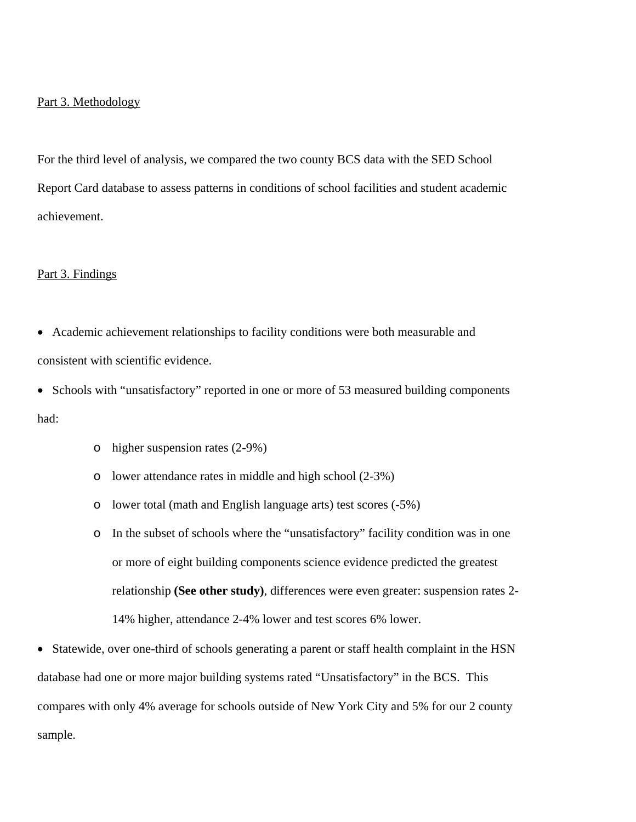#### Part 3. Methodology

For the third level of analysis, we compared the two county BCS data with the SED School Report Card database to assess patterns in conditions of school facilities and student academic achievement.

#### Part 3. Findings

- Academic achievement relationships to facility conditions were both measurable and consistent with scientific evidence.
- Schools with "unsatisfactory" reported in one or more of 53 measured building components had:
	- o higher suspension rates (2-9%)
	- o lower attendance rates in middle and high school (2-3%)
	- o lower total (math and English language arts) test scores (-5%)
	- o In the subset of schools where the "unsatisfactory" facility condition was in one or more of eight building components science evidence predicted the greatest relationship **(See other study)**, differences were even greater: suspension rates 2- 14% higher, attendance 2-4% lower and test scores 6% lower.
- Statewide, over one-third of schools generating a parent or staff health complaint in the HSN database had one or more major building systems rated "Unsatisfactory" in the BCS. This compares with only 4% average for schools outside of New York City and 5% for our 2 county sample.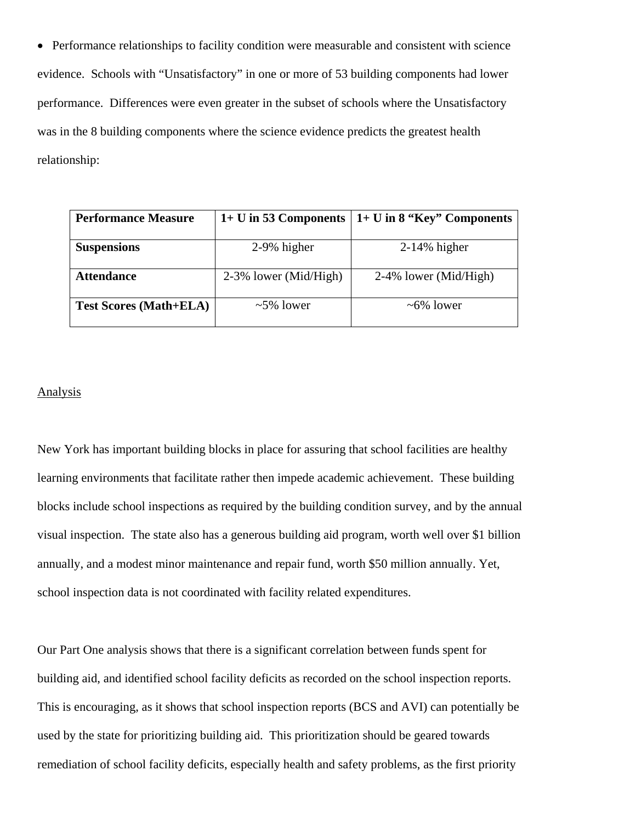• Performance relationships to facility condition were measurable and consistent with science evidence. Schools with "Unsatisfactory" in one or more of 53 building components had lower performance. Differences were even greater in the subset of schools where the Unsatisfactory was in the 8 building components where the science evidence predicts the greatest health relationship:

| <b>Performance Measure</b>    | $1+$ U in 53 Components $ $ | $1+U$ in 8 "Key" Components |  |  |  |  |
|-------------------------------|-----------------------------|-----------------------------|--|--|--|--|
| <b>Suspensions</b>            | 2-9% higher                 | $2-14\%$ higher             |  |  |  |  |
| <b>Attendance</b>             | 2-3% lower (Mid/High)       | 2-4% lower (Mid/High)       |  |  |  |  |
| <b>Test Scores (Math+ELA)</b> | $\sim$ 5% lower             | $~5\%$ lower                |  |  |  |  |

#### **Analysis**

New York has important building blocks in place for assuring that school facilities are healthy learning environments that facilitate rather then impede academic achievement. These building blocks include school inspections as required by the building condition survey, and by the annual visual inspection. The state also has a generous building aid program, worth well over \$1 billion annually, and a modest minor maintenance and repair fund, worth \$50 million annually. Yet, school inspection data is not coordinated with facility related expenditures.

Our Part One analysis shows that there is a significant correlation between funds spent for building aid, and identified school facility deficits as recorded on the school inspection reports. This is encouraging, as it shows that school inspection reports (BCS and AVI) can potentially be used by the state for prioritizing building aid. This prioritization should be geared towards remediation of school facility deficits, especially health and safety problems, as the first priority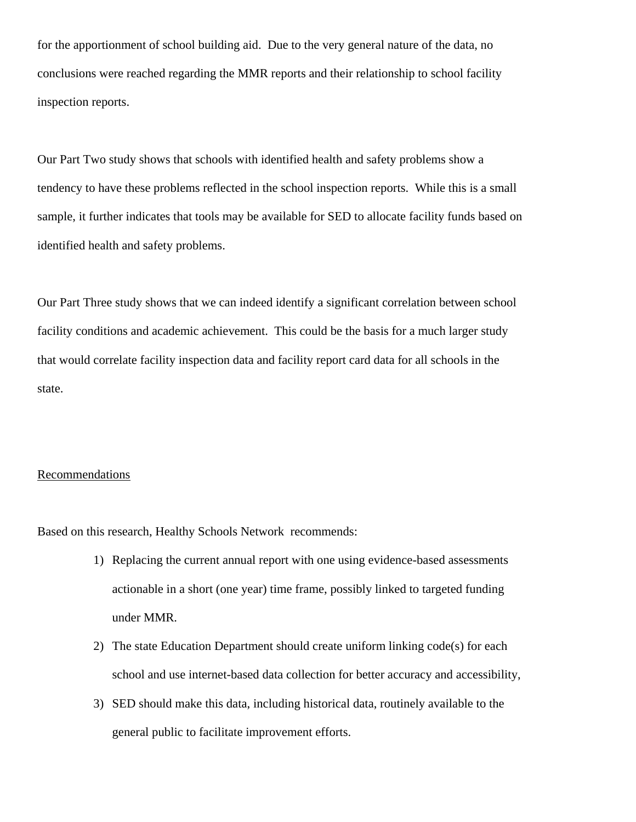for the apportionment of school building aid. Due to the very general nature of the data, no conclusions were reached regarding the MMR reports and their relationship to school facility inspection reports.

Our Part Two study shows that schools with identified health and safety problems show a tendency to have these problems reflected in the school inspection reports. While this is a small sample, it further indicates that tools may be available for SED to allocate facility funds based on identified health and safety problems.

Our Part Three study shows that we can indeed identify a significant correlation between school facility conditions and academic achievement. This could be the basis for a much larger study that would correlate facility inspection data and facility report card data for all schools in the state.

#### **Recommendations**

Based on this research, Healthy Schools Network recommends:

- 1) Replacing the current annual report with one using evidence-based assessments actionable in a short (one year) time frame, possibly linked to targeted funding under MMR.
- 2) The state Education Department should create uniform linking code(s) for each school and use internet-based data collection for better accuracy and accessibility,
- 3) SED should make this data, including historical data, routinely available to the general public to facilitate improvement efforts.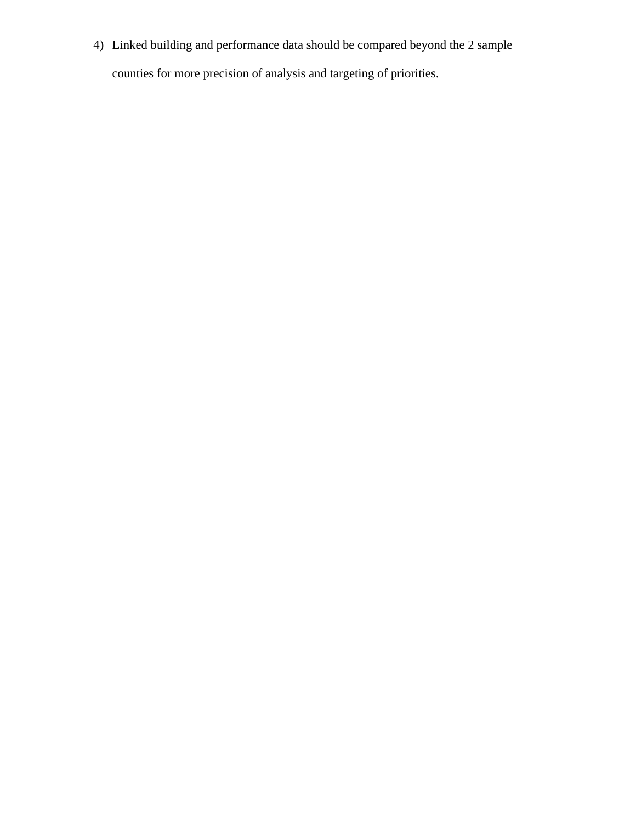4) Linked building and performance data should be compared beyond the 2 sample

counties for more precision of analysis and targeting of priorities.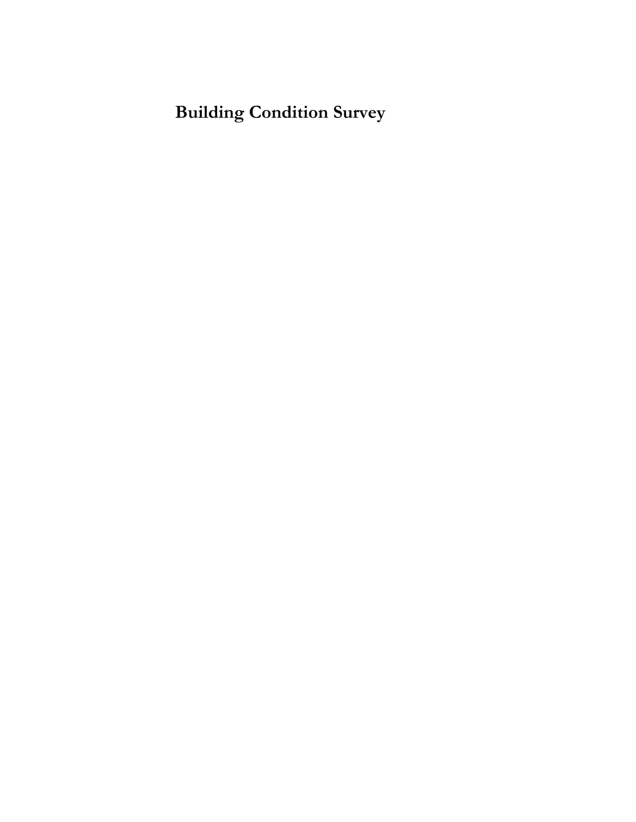## **Building Condition Survey**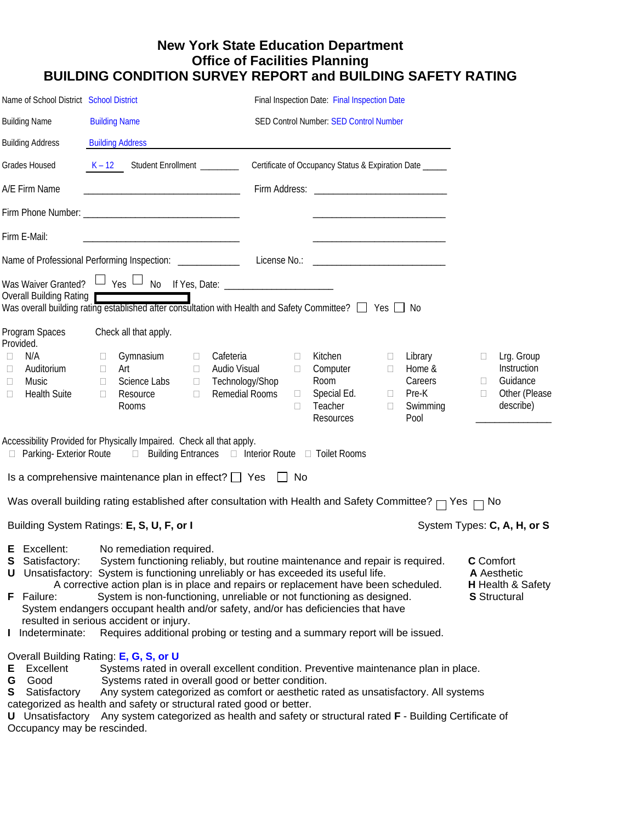## **New York State Education Department Office of Facilities Planning BUILDING CONDITION SURVEY REPORT and BUILDING SAFETY RATING**

| Name of School District School District                                                                                                                                                                                                                                                                                                                                                                                                                                                                                                                                                                                                                                                                                                    |                                                                                                                                                                                                                                                                                                                                                                                                                                                                    |                                                                                                           | Final Inspection Date: Final Inspection Date                       |                                                                                                   |                                                                                                   |  |  |  |  |  |
|--------------------------------------------------------------------------------------------------------------------------------------------------------------------------------------------------------------------------------------------------------------------------------------------------------------------------------------------------------------------------------------------------------------------------------------------------------------------------------------------------------------------------------------------------------------------------------------------------------------------------------------------------------------------------------------------------------------------------------------------|--------------------------------------------------------------------------------------------------------------------------------------------------------------------------------------------------------------------------------------------------------------------------------------------------------------------------------------------------------------------------------------------------------------------------------------------------------------------|-----------------------------------------------------------------------------------------------------------|--------------------------------------------------------------------|---------------------------------------------------------------------------------------------------|---------------------------------------------------------------------------------------------------|--|--|--|--|--|
| <b>Building Name</b>                                                                                                                                                                                                                                                                                                                                                                                                                                                                                                                                                                                                                                                                                                                       | <b>Building Name</b>                                                                                                                                                                                                                                                                                                                                                                                                                                               |                                                                                                           | SED Control Number: SED Control Number                             |                                                                                                   |                                                                                                   |  |  |  |  |  |
| <b>Building Address</b>                                                                                                                                                                                                                                                                                                                                                                                                                                                                                                                                                                                                                                                                                                                    | <b>Building Address</b>                                                                                                                                                                                                                                                                                                                                                                                                                                            |                                                                                                           |                                                                    |                                                                                                   |                                                                                                   |  |  |  |  |  |
| Grades Housed                                                                                                                                                                                                                                                                                                                                                                                                                                                                                                                                                                                                                                                                                                                              | Student Enrollment _________<br>$K - 12$                                                                                                                                                                                                                                                                                                                                                                                                                           |                                                                                                           | Certificate of Occupancy Status & Expiration Date _____            |                                                                                                   |                                                                                                   |  |  |  |  |  |
| A/E Firm Name                                                                                                                                                                                                                                                                                                                                                                                                                                                                                                                                                                                                                                                                                                                              | <u> 1980 - Johann John Stone, meil er fan de ferske fan de ferske fan de ferske fan de ferske fan de ferske fan d</u>                                                                                                                                                                                                                                                                                                                                              |                                                                                                           |                                                                    |                                                                                                   |                                                                                                   |  |  |  |  |  |
|                                                                                                                                                                                                                                                                                                                                                                                                                                                                                                                                                                                                                                                                                                                                            |                                                                                                                                                                                                                                                                                                                                                                                                                                                                    |                                                                                                           |                                                                    |                                                                                                   |                                                                                                   |  |  |  |  |  |
| Firm E-Mail:                                                                                                                                                                                                                                                                                                                                                                                                                                                                                                                                                                                                                                                                                                                               | <u> 1989 - Johann John Stone, mars et al. 1989 - John Stone, mars et al. 1989 - John Stone, mars et al. 1989 - John Stone</u>                                                                                                                                                                                                                                                                                                                                      |                                                                                                           |                                                                    |                                                                                                   |                                                                                                   |  |  |  |  |  |
|                                                                                                                                                                                                                                                                                                                                                                                                                                                                                                                                                                                                                                                                                                                                            | Name of Professional Performing Inspection: ______________  License No.: ___________________________                                                                                                                                                                                                                                                                                                                                                               |                                                                                                           |                                                                    |                                                                                                   |                                                                                                   |  |  |  |  |  |
| Overall Building Rating                                                                                                                                                                                                                                                                                                                                                                                                                                                                                                                                                                                                                                                                                                                    | Was Waiver Granted? $\Box$ Yes $\Box$ No If Yes, Date: ______________________<br>Was overall building rating established after consultation with Health and Safety Committee? $\Box$ Yes $\Box$ No                                                                                                                                                                                                                                                                 |                                                                                                           |                                                                    |                                                                                                   |                                                                                                   |  |  |  |  |  |
| Program Spaces<br>Provided.<br>N/A<br>Ш<br>Auditorium<br>Ш<br>Music<br>Ш<br><b>Health Suite</b><br>□                                                                                                                                                                                                                                                                                                                                                                                                                                                                                                                                                                                                                                       | Check all that apply.<br>Gymnasium<br>$\Box$<br>$\Box$<br>Art<br>$\Box$<br>$\Box$<br>Science Labs<br>$\Box$<br>$\Box$<br>Resource<br>$\Box$<br>□<br>Rooms<br>Accessibility Provided for Physically Impaired. Check all that apply.<br>□ Parking- Exterior Route □ Building Entrances □ Interior Route □ Toilet Rooms                                                                                                                                               | Cafeteria<br>$\Box$<br>Audio Visual<br>$\Box$<br>Technology/Shop<br><b>Remedial Rooms</b><br>$\Box$<br>П. | Kitchen<br>Computer<br>Room<br>Special Ed.<br>Teacher<br>Resources | Library<br>$\Box$<br>Home &<br>$\Box$<br>Careers<br>Pre-K<br>$\Box$<br>Swimming<br>$\Box$<br>Pool | Lrg. Group<br>$\Box$<br>Instruction<br>Guidance<br>$\Box$<br>Other (Please<br>$\Box$<br>describe) |  |  |  |  |  |
|                                                                                                                                                                                                                                                                                                                                                                                                                                                                                                                                                                                                                                                                                                                                            | Is a comprehensive maintenance plan in effect? $\Box$ Yes $\Box$ No                                                                                                                                                                                                                                                                                                                                                                                                |                                                                                                           |                                                                    |                                                                                                   |                                                                                                   |  |  |  |  |  |
|                                                                                                                                                                                                                                                                                                                                                                                                                                                                                                                                                                                                                                                                                                                                            | Was overall building rating established after consultation with Health and Safety Committee? $\Box$ Yes $\Box$ No                                                                                                                                                                                                                                                                                                                                                  |                                                                                                           |                                                                    |                                                                                                   |                                                                                                   |  |  |  |  |  |
|                                                                                                                                                                                                                                                                                                                                                                                                                                                                                                                                                                                                                                                                                                                                            | Building System Ratings: E, S, U, F, or I                                                                                                                                                                                                                                                                                                                                                                                                                          |                                                                                                           |                                                                    |                                                                                                   | System Types: C, A, H, or S                                                                       |  |  |  |  |  |
| E Excellent:<br>No remediation required.<br>System functioning reliably, but routine maintenance and repair is required.<br><b>C</b> Comfort<br><b>S</b> Satisfactory:<br>U Unsatisfactory: System is functioning unreliably or has exceeded its useful life.<br>A Aesthetic<br>A corrective action plan is in place and repairs or replacement have been scheduled.<br>H Health & Safety<br>System is non-functioning, unreliable or not functioning as designed.<br>F Failure:<br><b>S</b> Structural<br>System endangers occupant health and/or safety, and/or has deficiencies that have<br>resulted in serious accident or injury.<br>Requires additional probing or testing and a summary report will be issued.<br>I Indeterminate: |                                                                                                                                                                                                                                                                                                                                                                                                                                                                    |                                                                                                           |                                                                    |                                                                                                   |                                                                                                   |  |  |  |  |  |
| Excellent<br>Е<br>Good<br>G<br>S<br>Satisfactory<br>Occupancy may be rescinded.                                                                                                                                                                                                                                                                                                                                                                                                                                                                                                                                                                                                                                                            | Overall Building Rating: E, G, S, or U<br>Systems rated in overall excellent condition. Preventive maintenance plan in place.<br>Systems rated in overall good or better condition.<br>Any system categorized as comfort or aesthetic rated as unsatisfactory. All systems<br>categorized as health and safety or structural rated good or better.<br>U Unsatisfactory Any system categorized as health and safety or structural rated F - Building Certificate of |                                                                                                           |                                                                    |                                                                                                   |                                                                                                   |  |  |  |  |  |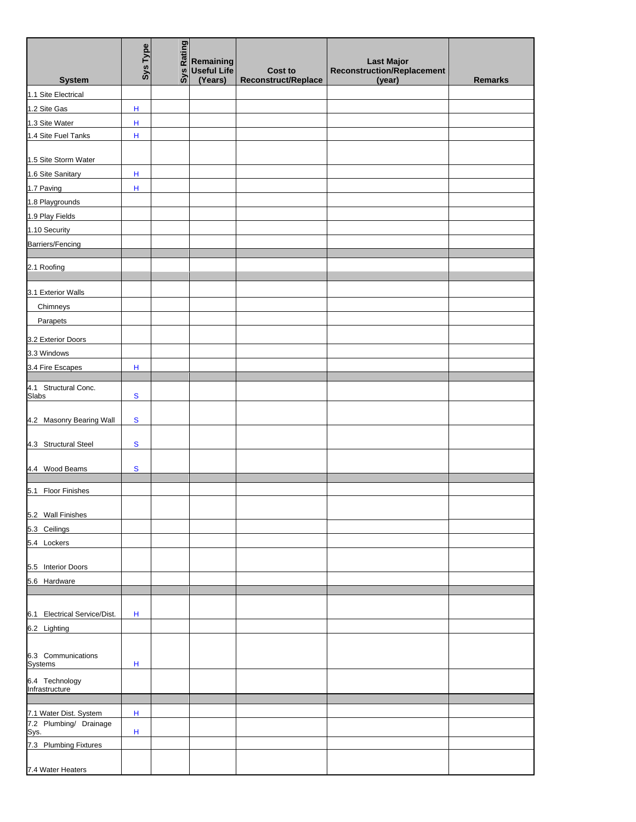|                                       | Sys Type     | Rating<br>sys | Remaining<br><b>Useful Life</b><br>(Years) | <b>Cost to</b>      | <b>Last Major</b><br><b>Reconstruction/Replacement</b> |                |
|---------------------------------------|--------------|---------------|--------------------------------------------|---------------------|--------------------------------------------------------|----------------|
| <b>System</b><br>1.1 Site Electrical  |              |               |                                            | Reconstruct/Replace | (year)                                                 | <b>Remarks</b> |
|                                       |              |               |                                            |                     |                                                        |                |
| 1.2 Site Gas                          | H            |               |                                            |                     |                                                        |                |
| 1.3 Site Water<br>1.4 Site Fuel Tanks | H<br>$\sf H$ |               |                                            |                     |                                                        |                |
|                                       |              |               |                                            |                     |                                                        |                |
| 1.5 Site Storm Water                  |              |               |                                            |                     |                                                        |                |
| 1.6 Site Sanitary                     | н            |               |                                            |                     |                                                        |                |
| 1.7 Paving                            | Н            |               |                                            |                     |                                                        |                |
| 1.8 Playgrounds                       |              |               |                                            |                     |                                                        |                |
| 1.9 Play Fields                       |              |               |                                            |                     |                                                        |                |
| 1.10 Security                         |              |               |                                            |                     |                                                        |                |
| Barriers/Fencing                      |              |               |                                            |                     |                                                        |                |
|                                       |              |               |                                            |                     |                                                        |                |
| 2.1 Roofing                           |              |               |                                            |                     |                                                        |                |
|                                       |              |               |                                            |                     |                                                        |                |
| 3.1 Exterior Walls                    |              |               |                                            |                     |                                                        |                |
| Chimneys                              |              |               |                                            |                     |                                                        |                |
| Parapets                              |              |               |                                            |                     |                                                        |                |
| 3.2 Exterior Doors                    |              |               |                                            |                     |                                                        |                |
| 3.3 Windows                           |              |               |                                            |                     |                                                        |                |
| 3.4 Fire Escapes                      | $\mathsf H$  |               |                                            |                     |                                                        |                |
| 4.1 Structural Conc.                  |              |               |                                            |                     |                                                        |                |
| Slabs                                 | $\mathbf{s}$ |               |                                            |                     |                                                        |                |
|                                       |              |               |                                            |                     |                                                        |                |
| 4.2 Masonry Bearing Wall              | ${\bf S}$    |               |                                            |                     |                                                        |                |
|                                       | $\mathbf{s}$ |               |                                            |                     |                                                        |                |
| 4.3 Structural Steel                  |              |               |                                            |                     |                                                        |                |
| 4.4 Wood Beams                        | ${\bf S}$    |               |                                            |                     |                                                        |                |
|                                       |              |               |                                            |                     |                                                        |                |
| 5.1 Floor Finishes                    |              |               |                                            |                     |                                                        |                |
|                                       |              |               |                                            |                     |                                                        |                |
| 5.2 Wall Finishes                     |              |               |                                            |                     |                                                        |                |
| 5.3 Ceilings<br>5.4 Lockers           |              |               |                                            |                     |                                                        |                |
|                                       |              |               |                                            |                     |                                                        |                |
| 5.5 Interior Doors                    |              |               |                                            |                     |                                                        |                |
| 5.6 Hardware                          |              |               |                                            |                     |                                                        |                |
|                                       |              |               |                                            |                     |                                                        |                |
|                                       |              |               |                                            |                     |                                                        |                |
| 6.1 Electrical Service/Dist.          | Н            |               |                                            |                     |                                                        |                |
| 6.2 Lighting                          |              |               |                                            |                     |                                                        |                |
| 6.3 Communications<br><b>Systems</b>  | Н            |               |                                            |                     |                                                        |                |
| 6.4 Technology                        |              |               |                                            |                     |                                                        |                |
| Infrastructure                        |              |               |                                            |                     |                                                        |                |
|                                       |              |               |                                            |                     |                                                        |                |
| 7.1 Water Dist. System                | H            |               |                                            |                     |                                                        |                |
| 7.2 Plumbing/ Drainage<br>Sys.        | H            |               |                                            |                     |                                                        |                |
| 7.3 Plumbing Fixtures                 |              |               |                                            |                     |                                                        |                |
|                                       |              |               |                                            |                     |                                                        |                |
| 7.4 Water Heaters                     |              |               |                                            |                     |                                                        |                |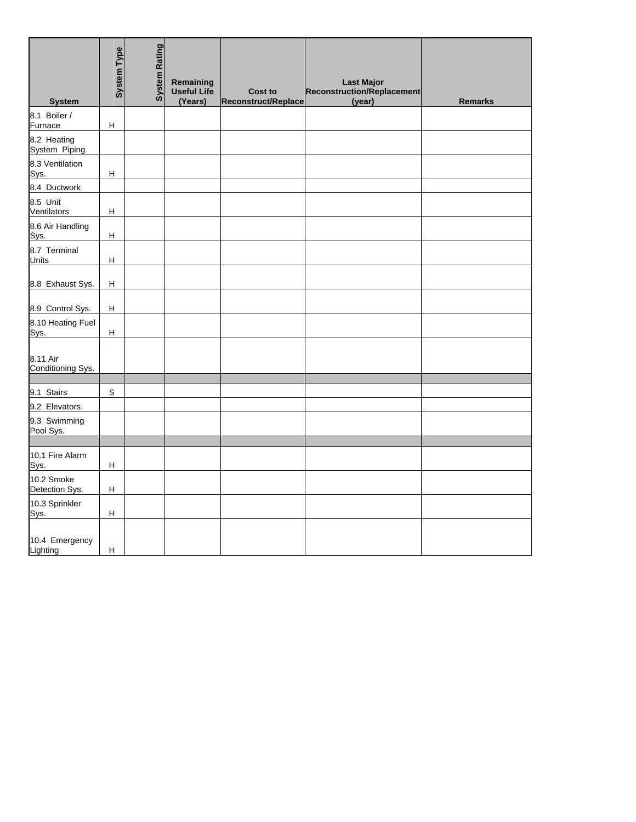| <b>System</b>                 | <b>System Type</b>        | <b>System Rating</b> | Remaining<br>Useful Life<br>(Years) | <b>Cost to</b><br>Reconstruct/Replace | <b>Last Major</b><br>Reconstruction/Replacement<br>(year) | <b>Remarks</b> |
|-------------------------------|---------------------------|----------------------|-------------------------------------|---------------------------------------|-----------------------------------------------------------|----------------|
| 8.1 Boiler /<br>Furnace       | $\mathsf H$               |                      |                                     |                                       |                                                           |                |
| 8.2 Heating<br>System Piping  |                           |                      |                                     |                                       |                                                           |                |
| 8.3 Ventilation<br>Sys.       | $\sf H$                   |                      |                                     |                                       |                                                           |                |
| 8.4 Ductwork                  |                           |                      |                                     |                                       |                                                           |                |
| 8.5 Unit<br>Ventilators       | $\sf H$                   |                      |                                     |                                       |                                                           |                |
| 8.6 Air Handling<br>Sys.      | $\sf H$                   |                      |                                     |                                       |                                                           |                |
| 8.7 Terminal<br>Units         | $\sf H$                   |                      |                                     |                                       |                                                           |                |
| 8.8 Exhaust Sys.              | $\boldsymbol{\mathsf{H}}$ |                      |                                     |                                       |                                                           |                |
| 8.9 Control Sys.              | $\mathsf H$               |                      |                                     |                                       |                                                           |                |
| 8.10 Heating Fuel<br>Sys.     | $\mathsf H$               |                      |                                     |                                       |                                                           |                |
| 8.11 Air<br>Conditioning Sys. |                           |                      |                                     |                                       |                                                           |                |
| 9.1 Stairs                    | ${\mathbf S}$             |                      |                                     |                                       |                                                           |                |
| 9.2 Elevators                 |                           |                      |                                     |                                       |                                                           |                |
| 9.3 Swimming<br>Pool Sys.     |                           |                      |                                     |                                       |                                                           |                |
|                               |                           |                      |                                     |                                       |                                                           |                |
| 10.1 Fire Alarm<br>Sys.       | H                         |                      |                                     |                                       |                                                           |                |
| 10.2 Smoke<br>Detection Sys.  | $\mathsf H$               |                      |                                     |                                       |                                                           |                |
| 10.3 Sprinkler<br>Sys.        | H                         |                      |                                     |                                       |                                                           |                |
| 10.4 Emergency<br>Lighting    | н                         |                      |                                     |                                       |                                                           |                |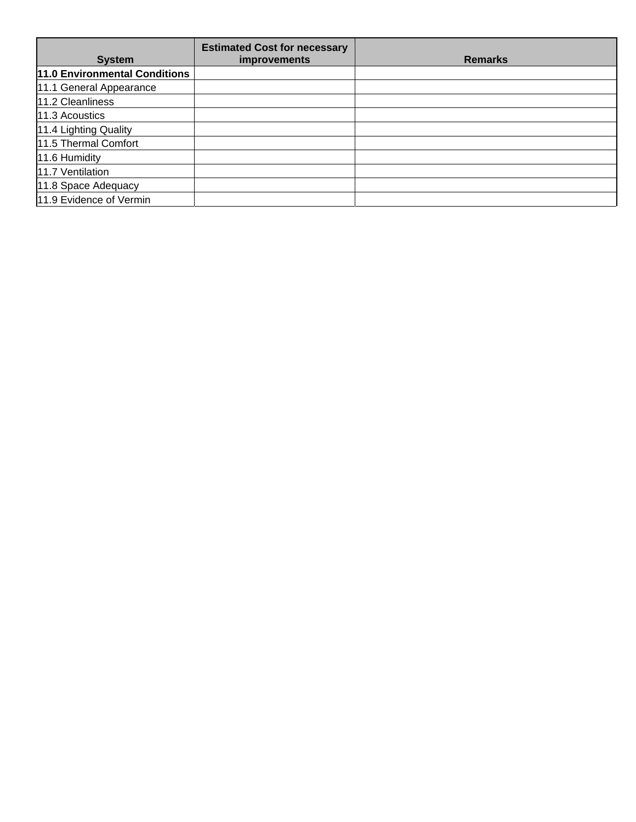| <b>System</b>                 | <b>Estimated Cost for necessary</b><br><i>improvements</i> | <b>Remarks</b> |
|-------------------------------|------------------------------------------------------------|----------------|
| 11.0 Environmental Conditions |                                                            |                |
| 11.1 General Appearance       |                                                            |                |
| 11.2 Cleanliness              |                                                            |                |
| 11.3 Acoustics                |                                                            |                |
| 11.4 Lighting Quality         |                                                            |                |
| 11.5 Thermal Comfort          |                                                            |                |
| 11.6 Humidity                 |                                                            |                |
| 11.7 Ventilation              |                                                            |                |
| 11.8 Space Adequacy           |                                                            |                |
| 11.9 Evidence of Vermin       |                                                            |                |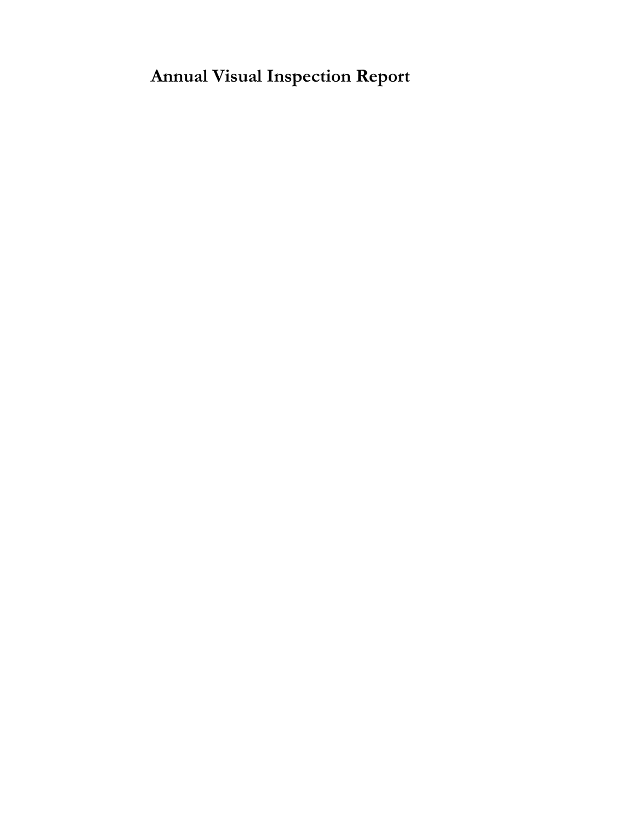**Annual Visual Inspection Report**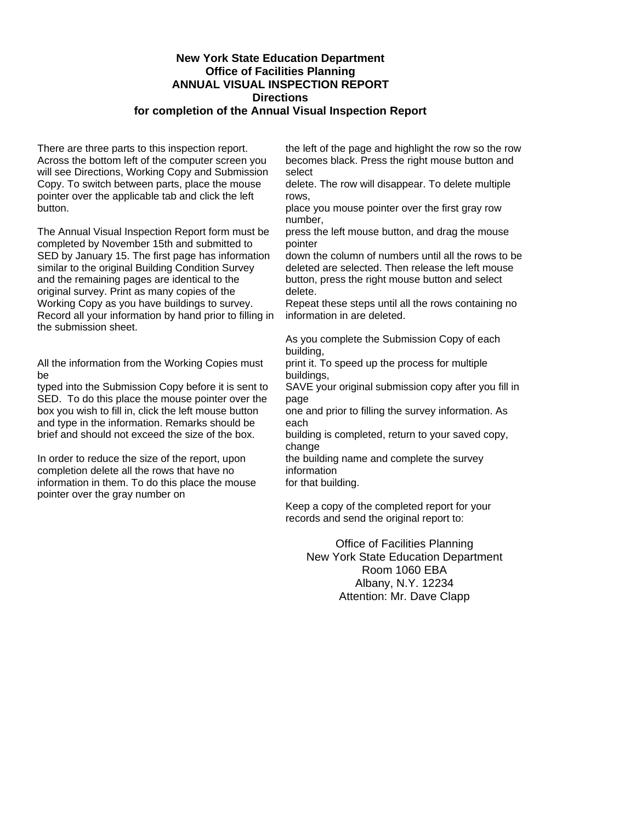#### **New York State Education Department Office of Facilities Planning ANNUAL VISUAL INSPECTION REPORT Directions for completion of the Annual Visual Inspection Report**

There are three parts to this inspection report. Across the bottom left of the computer screen you will see Directions, Working Copy and Submission Copy. To switch between parts, place the mouse pointer over the applicable tab and click the left button.

The Annual Visual Inspection Report form must be completed by November 15th and submitted to SED by January 15. The first page has information similar to the original Building Condition Survey and the remaining pages are identical to the original survey. Print as many copies of the Working Copy as you have buildings to survey. Record all your information by hand prior to filling in the submission sheet.

All the information from the Working Copies must be

typed into the Submission Copy before it is sent to SED. To do this place the mouse pointer over the box you wish to fill in, click the left mouse button and type in the information. Remarks should be brief and should not exceed the size of the box.

In order to reduce the size of the report, upon completion delete all the rows that have no information in them. To do this place the mouse pointer over the gray number on

the left of the page and highlight the row so the row becomes black. Press the right mouse button and select

delete. The row will disappear. To delete multiple rows,

place you mouse pointer over the first gray row number,

press the left mouse button, and drag the mouse pointer

down the column of numbers until all the rows to be deleted are selected. Then release the left mouse button, press the right mouse button and select delete.

Repeat these steps until all the rows containing no information in are deleted.

As you complete the Submission Copy of each building,

print it. To speed up the process for multiple buildings,

SAVE your original submission copy after you fill in page

one and prior to filling the survey information. As each

building is completed, return to your saved copy, change

the building name and complete the survey information

for that building.

Keep a copy of the completed report for your records and send the original report to:

Office of Facilities Planning New York State Education Department Room 1060 EBA Albany, N.Y. 12234 Attention: Mr. Dave Clapp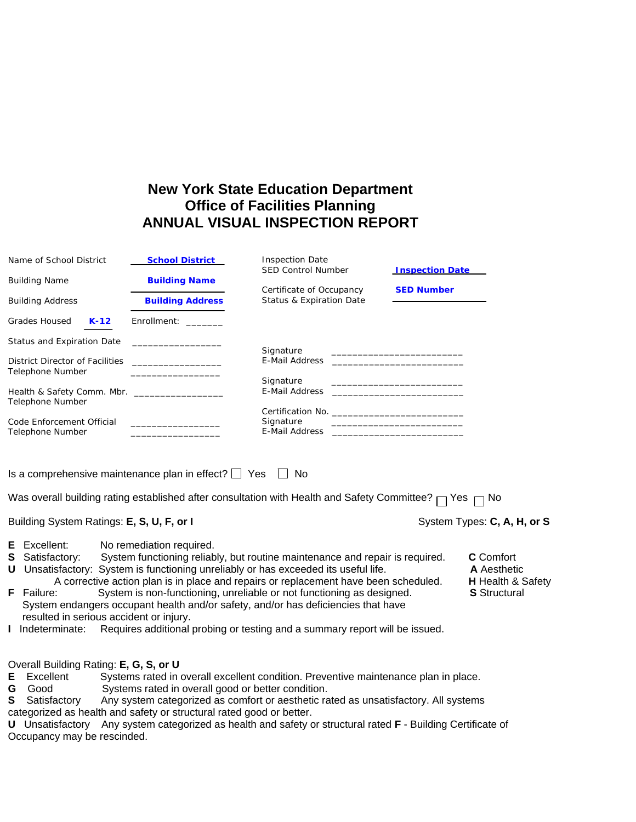## **New York State Education Department Office of Facilities Planning ANNUAL VISUAL INSPECTION REPORT**

|   | Name of School District                                    | <b>School District</b>                                  | <b>Inspection Date</b><br><b>SED Control Number</b>                                                                                                           | <b>Inspection Date</b>                                                                                                                                                                                                                          |                                          |
|---|------------------------------------------------------------|---------------------------------------------------------|---------------------------------------------------------------------------------------------------------------------------------------------------------------|-------------------------------------------------------------------------------------------------------------------------------------------------------------------------------------------------------------------------------------------------|------------------------------------------|
|   | <b>Building Name</b>                                       | <b>Building Name</b>                                    |                                                                                                                                                               |                                                                                                                                                                                                                                                 |                                          |
|   | <b>Building Address</b>                                    | <b>Building Address</b>                                 | Certificate of Occupancy<br>Status & Expiration Date                                                                                                          | <b>SED Number</b>                                                                                                                                                                                                                               |                                          |
|   | Grades Housed<br>$K-12$                                    | Enrollment:                                             |                                                                                                                                                               |                                                                                                                                                                                                                                                 |                                          |
|   | Status and Expiration Date                                 | the control of the control of the control of the        |                                                                                                                                                               |                                                                                                                                                                                                                                                 |                                          |
|   | District Director of Facilities<br><b>Telephone Number</b> | the control of the control of the control of            | Signature<br>E-Mail Address                                                                                                                                   | <u> 1989 - Johann John Stone, mars et al. 1989 - John Stone, mars et al. 1989 - John Stone, mars et al. 1989 - Joh</u><br><u> 2000 - Jan James James James James James James James James James James James James James James James James Ja</u> |                                          |
|   |                                                            |                                                         | Signature                                                                                                                                                     |                                                                                                                                                                                                                                                 |                                          |
|   | Telephone Number                                           | Health & Safety Comm. Mbr. __________________           | E-Mail Address                                                                                                                                                |                                                                                                                                                                                                                                                 |                                          |
|   |                                                            |                                                         |                                                                                                                                                               |                                                                                                                                                                                                                                                 |                                          |
|   | Code Enforcement Official                                  |                                                         | Signature                                                                                                                                                     | <u> 1989 - Johann Harry Harry Harry Harry Harry Harry Harry Harry Harry Harry Harry Harry Harry Harry Harry Harry</u>                                                                                                                           |                                          |
|   | Telephone Number                                           | <u> 1980 - Johann Barbara, martin amerikan basar da</u> |                                                                                                                                                               |                                                                                                                                                                                                                                                 |                                          |
|   | Building System Ratings: E, S, U, F, or I                  |                                                         | Was overall building rating established after consultation with Health and Safety Committee? $\Box$ Yes $\Box$ No                                             |                                                                                                                                                                                                                                                 | System Types: C, A, H, or S              |
| Е | Excellent:                                                 | No remediation required.                                |                                                                                                                                                               |                                                                                                                                                                                                                                                 |                                          |
|   | <b>S</b> Satisfactory:                                     |                                                         | System functioning reliably, but routine maintenance and repair is required.                                                                                  |                                                                                                                                                                                                                                                 | <b>C</b> Comfort                         |
|   |                                                            |                                                         | U Unsatisfactory: System is functioning unreliably or has exceeded its useful life.                                                                           |                                                                                                                                                                                                                                                 | A Aesthetic                              |
|   | <b>F</b> Failure:                                          |                                                         | A corrective action plan is in place and repairs or replacement have been scheduled.<br>System is non-functioning, unreliable or not functioning as designed. |                                                                                                                                                                                                                                                 | H Health & Safety<br><b>S</b> Structural |
|   |                                                            |                                                         | System endangers occupant health and/or safety, and/or has deficiencies that have                                                                             |                                                                                                                                                                                                                                                 |                                          |
|   | resulted in serious accident or injury.                    |                                                         |                                                                                                                                                               |                                                                                                                                                                                                                                                 |                                          |
|   |                                                            |                                                         | I Indeterminate: Requires additional probing or testing and a summary report will be issued.                                                                  |                                                                                                                                                                                                                                                 |                                          |
|   | Overall Building Rating: E, G, S, or U                     |                                                         |                                                                                                                                                               |                                                                                                                                                                                                                                                 |                                          |
| Е | Excellent                                                  |                                                         | Systems rated in overall excellent condition. Preventive maintenance plan in place.                                                                           |                                                                                                                                                                                                                                                 |                                          |
| G | Good                                                       | Systems rated in overall good or better condition.      |                                                                                                                                                               |                                                                                                                                                                                                                                                 |                                          |
| S | Satisfactory                                               |                                                         | Any system categorized as comfort or aesthetic rated as unsatisfactory. All systems                                                                           |                                                                                                                                                                                                                                                 |                                          |

categorized as health and safety or structural rated good or better. **U** Unsatisfactory Any system categorized as health and safety or structural rated **F** - Building Certificate of Occupancy may be rescinded.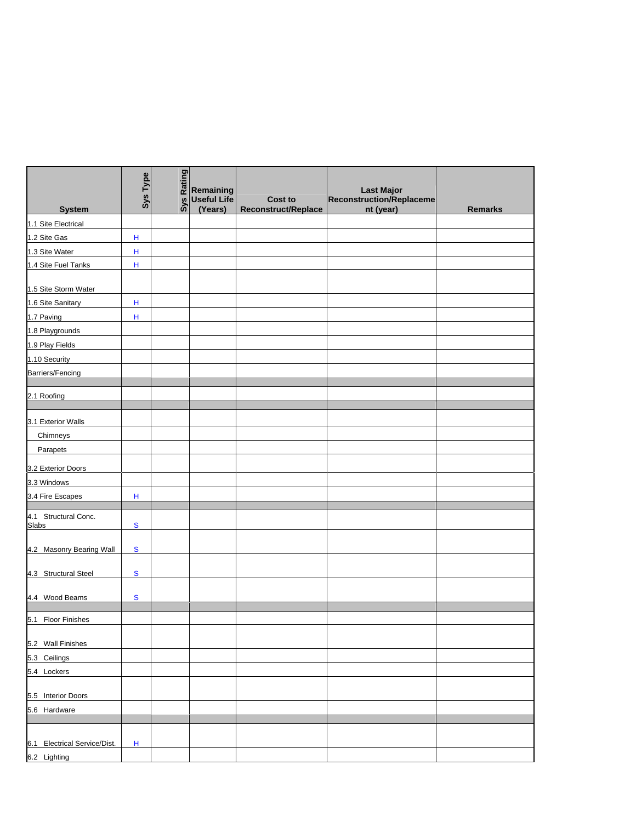|                               | Sys Type  | Rating<br>Sys | Remaining<br><b>Useful Life</b> | <b>Cost to</b>             | <b>Last Major</b><br>Reconstruction/Replaceme |                |
|-------------------------------|-----------|---------------|---------------------------------|----------------------------|-----------------------------------------------|----------------|
| <b>System</b>                 |           |               | (Years)                         | <b>Reconstruct/Replace</b> | nt (year)                                     | <b>Remarks</b> |
| 1.1 Site Electrical           |           |               |                                 |                            |                                               |                |
| 1.2 Site Gas                  | н         |               |                                 |                            |                                               |                |
| 1.3 Site Water                | н         |               |                                 |                            |                                               |                |
| 1.4 Site Fuel Tanks           | Н         |               |                                 |                            |                                               |                |
| 1.5 Site Storm Water          |           |               |                                 |                            |                                               |                |
| 1.6 Site Sanitary             | н         |               |                                 |                            |                                               |                |
| 1.7 Paving                    | н         |               |                                 |                            |                                               |                |
| 1.8 Playgrounds               |           |               |                                 |                            |                                               |                |
| 1.9 Play Fields               |           |               |                                 |                            |                                               |                |
| 1.10 Security                 |           |               |                                 |                            |                                               |                |
| Barriers/Fencing              |           |               |                                 |                            |                                               |                |
|                               |           |               |                                 |                            |                                               |                |
| 2.1 Roofing                   |           |               |                                 |                            |                                               |                |
| 3.1 Exterior Walls            |           |               |                                 |                            |                                               |                |
| Chimneys                      |           |               |                                 |                            |                                               |                |
| Parapets                      |           |               |                                 |                            |                                               |                |
|                               |           |               |                                 |                            |                                               |                |
| 3.2 Exterior Doors            |           |               |                                 |                            |                                               |                |
| 3.3 Windows                   |           |               |                                 |                            |                                               |                |
| 3.4 Fire Escapes              | н         |               |                                 |                            |                                               |                |
| 4.1 Structural Conc.<br>Slabs | ${\bf S}$ |               |                                 |                            |                                               |                |
| 4.2 Masonry Bearing Wall      | S         |               |                                 |                            |                                               |                |
| 4.3 Structural Steel          | ${\bf S}$ |               |                                 |                            |                                               |                |
| 4.4 Wood Beams                | S         |               |                                 |                            |                                               |                |
| 5.1 Floor Finishes            |           |               |                                 |                            |                                               |                |
|                               |           |               |                                 |                            |                                               |                |
| 5.2 Wall Finishes             |           |               |                                 |                            |                                               |                |
| 5.3 Ceilings                  |           |               |                                 |                            |                                               |                |
| 5.4 Lockers                   |           |               |                                 |                            |                                               |                |
| 5.5 Interior Doors            |           |               |                                 |                            |                                               |                |
| 5.6 Hardware                  |           |               |                                 |                            |                                               |                |
|                               |           |               |                                 |                            |                                               |                |
| 6.1 Electrical Service/Dist.  | н         |               |                                 |                            |                                               |                |
|                               |           |               |                                 |                            |                                               |                |
| 6.2 Lighting                  |           |               |                                 |                            |                                               |                |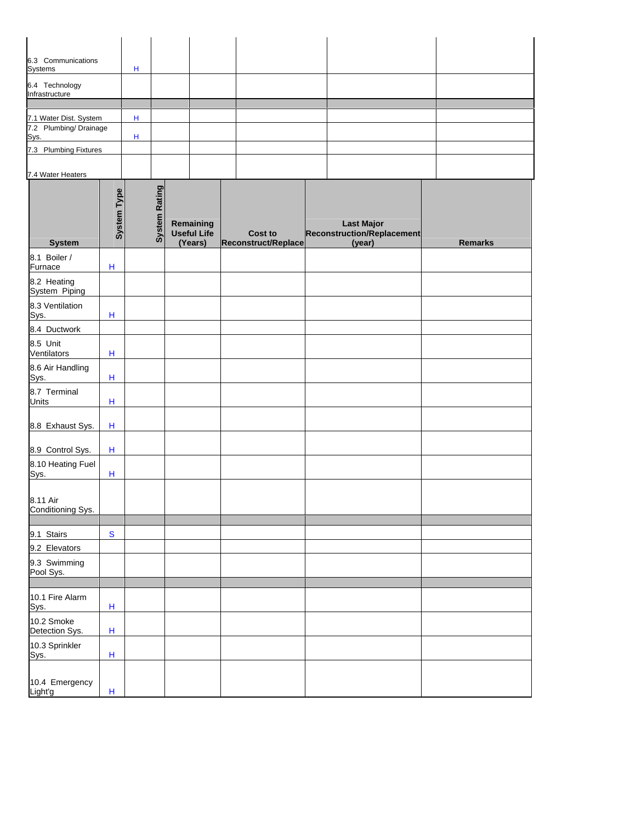| 6.3 Communications<br>Systems                   |                           | н |                      |                                            |                                       |                                                           |                |
|-------------------------------------------------|---------------------------|---|----------------------|--------------------------------------------|---------------------------------------|-----------------------------------------------------------|----------------|
| 6.4 Technology<br>Infrastructure                |                           |   |                      |                                            |                                       |                                                           |                |
|                                                 |                           |   |                      |                                            |                                       |                                                           |                |
| 7.1 Water Dist. System<br>7.2 Plumbing/Drainage |                           | н |                      |                                            |                                       |                                                           |                |
| Sys.                                            |                           | н |                      |                                            |                                       |                                                           |                |
| 7.3 Plumbing Fixtures                           |                           |   |                      |                                            |                                       |                                                           |                |
| 7.4 Water Heaters                               |                           |   |                      |                                            |                                       |                                                           |                |
| <b>System</b>                                   | <b>System Type</b>        |   | <b>System Rating</b> | Remaining<br><b>Useful Life</b><br>(Years) | <b>Cost to</b><br>Reconstruct/Replace | <b>Last Major</b><br>Reconstruction/Replacement<br>(year) | <b>Remarks</b> |
| 8.1 Boiler /<br>Furnace                         | $\boldsymbol{\mathsf{H}}$ |   |                      |                                            |                                       |                                                           |                |
| 8.2 Heating<br>System Piping                    |                           |   |                      |                                            |                                       |                                                           |                |
| 8.3 Ventilation<br>Sys.                         | $\mathsf{H}$              |   |                      |                                            |                                       |                                                           |                |
| 8.4 Ductwork                                    |                           |   |                      |                                            |                                       |                                                           |                |
| 8.5 Unit<br>Ventilators                         | Н                         |   |                      |                                            |                                       |                                                           |                |
| 8.6 Air Handling<br>Sys.                        | H                         |   |                      |                                            |                                       |                                                           |                |
| 8.7 Terminal<br><b>Units</b>                    | H                         |   |                      |                                            |                                       |                                                           |                |
| 8.8 Exhaust Sys.                                | $\boldsymbol{\mathsf{H}}$ |   |                      |                                            |                                       |                                                           |                |
| 8.9 Control Sys.                                | $\boldsymbol{\mathsf{H}}$ |   |                      |                                            |                                       |                                                           |                |
| 8.10 Heating Fuel<br>Sys.                       | $\mathsf{H}$              |   |                      |                                            |                                       |                                                           |                |
| 8.11 Air<br>Conditioning Sys.                   |                           |   |                      |                                            |                                       |                                                           |                |
| 9.1 Stairs                                      | ${\mathbf S}$             |   |                      |                                            |                                       |                                                           |                |
| 9.2 Elevators                                   |                           |   |                      |                                            |                                       |                                                           |                |
| 9.3 Swimming<br>Pool Sys.                       |                           |   |                      |                                            |                                       |                                                           |                |
| 10.1 Fire Alarm<br>Sys.                         | H                         |   |                      |                                            |                                       |                                                           |                |
| 10.2 Smoke<br>Detection Sys.                    | H                         |   |                      |                                            |                                       |                                                           |                |
| 10.3 Sprinkler<br>Sys.                          | $\boldsymbol{\mathsf{H}}$ |   |                      |                                            |                                       |                                                           |                |
| 10.4 Emergency<br>Light'g                       | $\sf H$                   |   |                      |                                            |                                       |                                                           |                |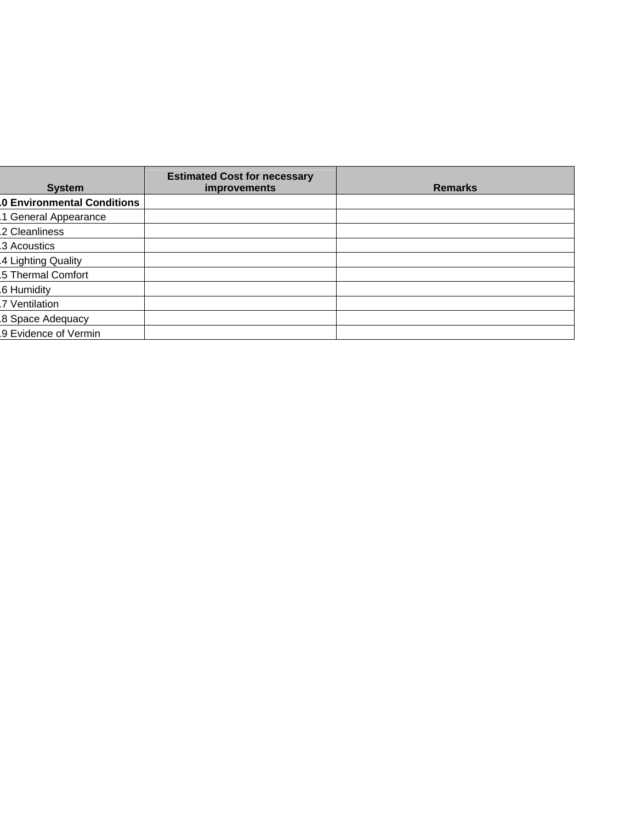| <b>System</b>                     | <b>Estimated Cost for necessary</b><br>improvements | <b>Remarks</b> |
|-----------------------------------|-----------------------------------------------------|----------------|
| <b>0 Environmental Conditions</b> |                                                     |                |
| 1 General Appearance              |                                                     |                |
| .2 Cleanliness                    |                                                     |                |
| 3 Acoustics                       |                                                     |                |
| 4 Lighting Quality                |                                                     |                |
| .5 Thermal Comfort                |                                                     |                |
| .6 Humidity                       |                                                     |                |
| .7 Ventilation                    |                                                     |                |
| 8 Space Adequacy                  |                                                     |                |
| 9 Evidence of Vermin              |                                                     |                |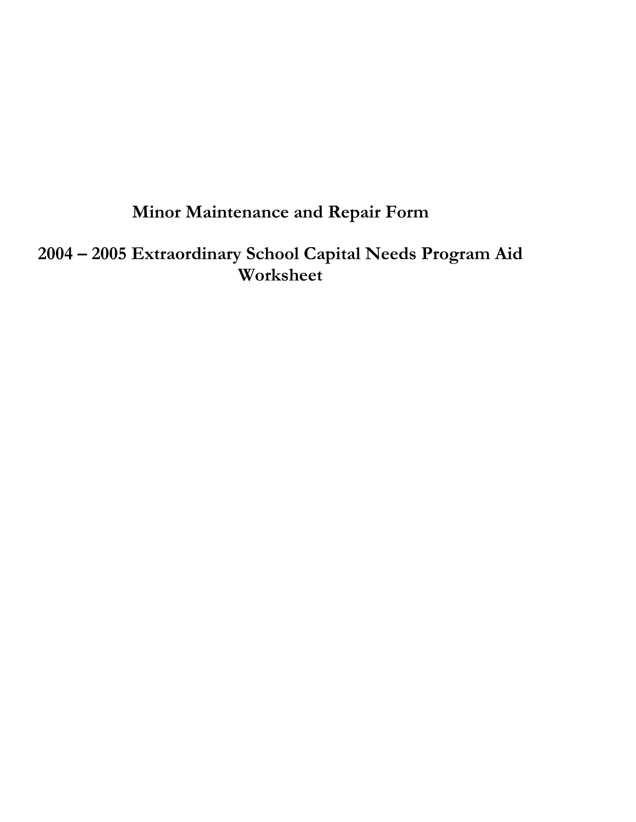## **Minor Maintenance and Repair Form**

**2004 – 2005 Extraordinary School Capital Needs Program Aid Worksheet**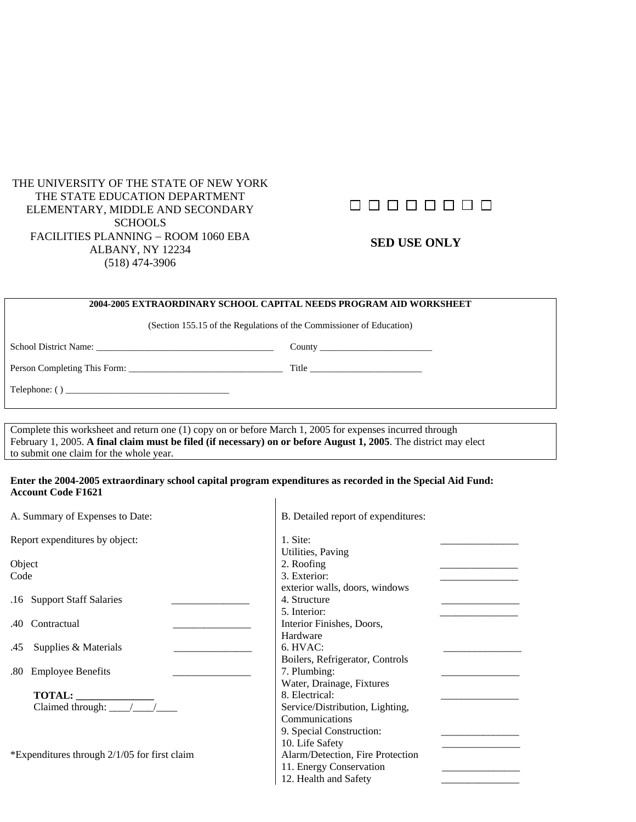#### THE UNIVERSITY OF THE STATE OF NEW YORK THE STATE EDUCATION DEPARTMENT ELEMENTARY, MIDDLE AND SECONDARY **SCHOOLS** FACILITIES PLANNING − ROOM 1060 EBA ALBANY, NY 12234 (518) 474-3906

## 00000000

#### **SED USE ONLY**

#### **2004-2005 EXTRAORDINARY SCHOOL CAPITAL NEEDS PROGRAM AID WORKSHEET**

(Section 155.15 of the Regulations of the Commissioner of Education)

School District Name: \_\_\_\_\_\_\_\_\_\_\_\_\_\_\_\_\_\_\_\_\_\_\_\_\_\_\_\_\_\_\_\_\_\_\_\_\_\_ County \_\_\_\_\_\_\_\_\_\_\_\_\_\_\_\_\_\_\_\_\_\_\_\_

Person Completing This Form: \_\_\_\_\_\_\_\_\_\_\_\_\_\_\_\_\_\_\_\_\_\_\_\_\_\_\_\_\_\_\_\_\_ Title \_\_\_\_\_\_\_\_\_\_\_\_\_\_\_\_\_\_\_\_\_\_\_\_

Telephone: ( ) \_\_\_\_\_\_\_\_\_\_\_\_\_\_\_\_\_\_\_\_\_\_\_\_\_\_\_\_\_\_\_\_\_\_\_

Complete this worksheet and return one (1) copy on or before March 1, 2005 for expenses incurred through February 1, 2005. **A final claim must be filed (if necessary) on or before August 1, 2005**. The district may elect to submit one claim for the whole year.

#### **Enter the 2004-2005 extraordinary school capital program expenditures as recorded in the Special Aid Fund: Account Code F1621**  $\mathsf{I}$

| A. Summary of Expenses to Date:              | B. Detailed report of expenditures: |
|----------------------------------------------|-------------------------------------|
| Report expenditures by object:               | 1. Site:                            |
|                                              | Utilities, Paving                   |
| Object                                       | 2. Roofing                          |
| Code                                         | 3. Exterior:                        |
|                                              | exterior walls, doors, windows      |
| .16 Support Staff Salaries                   | 4. Structure                        |
|                                              | 5. Interior:                        |
| .40 Contractual                              | Interior Finishes, Doors,           |
|                                              | Hardware                            |
| Supplies & Materials<br>.45                  | 6. HVAC:                            |
|                                              | Boilers, Refrigerator, Controls     |
| .80 Employee Benefits                        | 7. Plumbing:                        |
|                                              | Water, Drainage, Fixtures           |
| TOTAL:                                       | 8. Electrical:                      |
| Claimed through: $\frac{\sqrt{}}{\sqrt{ }}$  | Service/Distribution, Lighting,     |
|                                              | Communications                      |
|                                              | 9. Special Construction:            |
|                                              | 10. Life Safety                     |
| *Expenditures through 2/1/05 for first claim | Alarm/Detection, Fire Protection    |
|                                              | 11. Energy Conservation             |
|                                              | 12. Health and Safety               |
|                                              |                                     |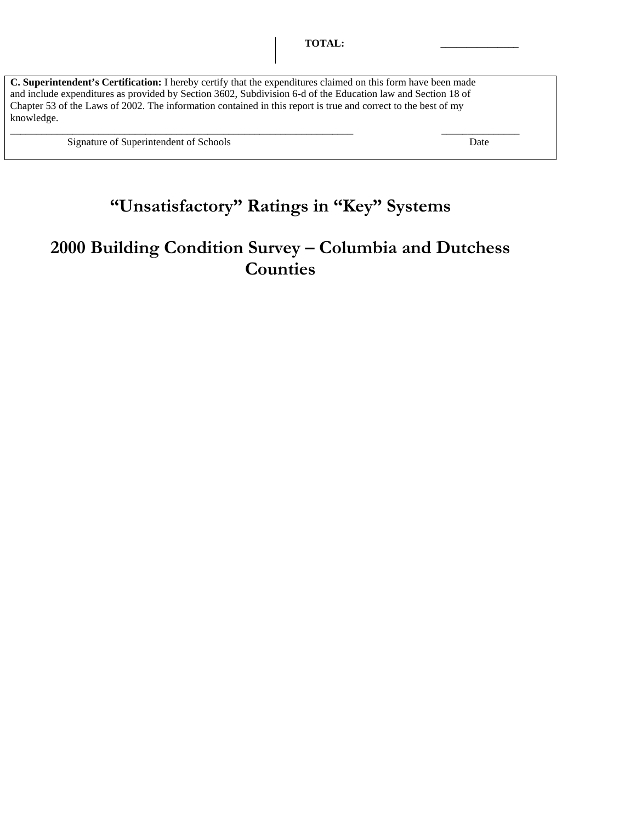**C. Superintendent's Certification:** I hereby certify that the expenditures claimed on this form have been made and include expenditures as provided by Section 3602, Subdivision 6-d of the Education law and Section 18 of Chapter 53 of the Laws of 2002. The information contained in this report is true and correct to the best of my knowledge.

\_\_\_\_\_\_\_\_\_\_\_\_\_\_\_\_\_\_\_\_\_\_\_\_\_\_\_\_\_\_\_\_\_\_\_\_\_\_\_\_\_\_\_\_\_\_\_\_\_\_\_\_\_\_\_\_\_\_\_\_\_\_\_\_\_\_ \_\_\_\_\_\_\_\_\_\_\_\_\_\_\_

Signature of Superintendent of Schools Date

## **"Unsatisfactory" Ratings in "Key" Systems**

## **2000 Building Condition Survey – Columbia and Dutchess Counties**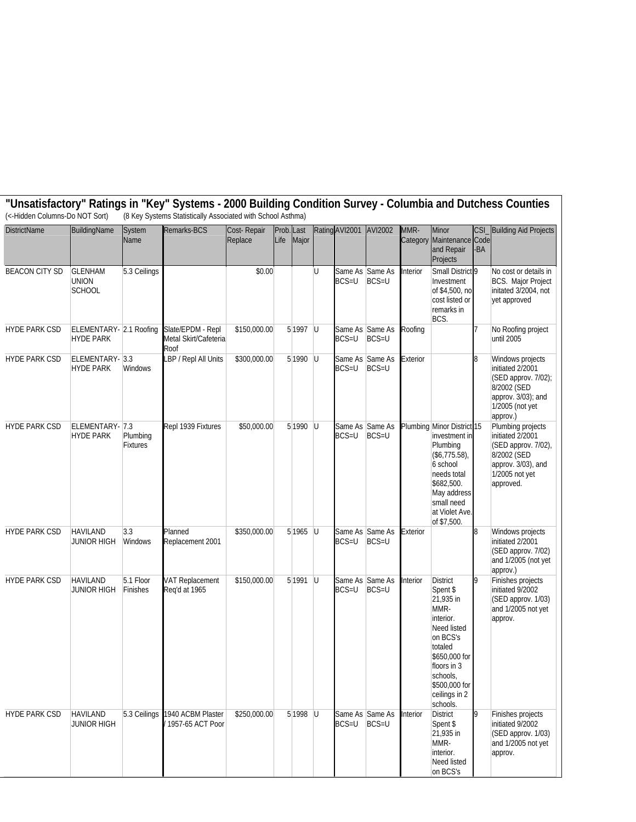| (<-Hidden Columns-Do NOT Sort) |                                             |                             | (8 Key Systems Statistically Associated with School Asthma) |                        |                             |   |                |                            |          |                                                                                                                                                                                               | "Unsatisfactory" Ratings in "Key" Systems - 2000 Building Condition Survey - Columbia and Dutchess Counties                      |
|--------------------------------|---------------------------------------------|-----------------------------|-------------------------------------------------------------|------------------------|-----------------------------|---|----------------|----------------------------|----------|-----------------------------------------------------------------------------------------------------------------------------------------------------------------------------------------------|----------------------------------------------------------------------------------------------------------------------------------|
| <b>DistrictName</b>            | BuildingName                                | System<br>Name              | Remarks-BCS                                                 | Cost-Repair<br>Replace | Prob. Last<br>Life<br>Major |   | Rating AVI2001 | AVI2002                    | MMR-     | <b>CSI</b><br>Minor<br>Category Maintenance<br>Code<br>and Repair<br><b>BA</b><br>Projects                                                                                                    | <b>Building Aid Projects</b>                                                                                                     |
| <b>BEACON CITY SD</b>          | <b>GLENHAM</b><br>union<br><b>SCHOOL</b>    | 5.3 Ceilings                |                                                             | \$0.00                 |                             | U | BCS=U          | Same As Same As<br>BCS=U   | nterior  | Small District <sup>9</sup><br>Investment<br>of \$4,500, no<br>cost listed or<br>remarks in<br>BCS.                                                                                           | No cost or details in<br>BCS. Major Project<br>initated 3/2004, not<br>yet approved                                              |
| <b>HYDE PARK CSD</b>           | ELEMENTARY- 2.1 Roofing<br><b>HYDE PARK</b> |                             | Slate/EPDM - Repl<br>Metal Skirt/Cafeteria<br>Roof          | \$150,000.00           | $5 1997$ U                  |   | $BCS=U$        | Same As Same As<br>$BCS=U$ | Roofing  |                                                                                                                                                                                               | No Roofing project<br>until 2005                                                                                                 |
| <b>HYDE PARK CSD</b>           | ELEMENTARY- 3.3<br>HYDE PARK                | <b>Windows</b>              | LBP / Repl All Units                                        | \$300,000.00           | $5 1990$ U                  |   | BCS=U          | Same As Same As<br>$BCS=U$ | Exterior | 8                                                                                                                                                                                             | Windows projects<br>initiated 2/2001<br>(SED approv. 7/02);<br>8/2002 (SED<br>approv. 3/03); and<br>1/2005 (not yet<br>approv.)  |
| <b>HYDE PARK CSD</b>           | ELEMENTARY- 7.3<br><b>HYDE PARK</b>         | Plumbing<br><b>Fixtures</b> | Repl 1939 Fixtures                                          | \$50,000.00            | $5 1990$ U                  |   | $BCS=U$        | Same As Same As<br>BCS=U   |          | Plumbing Minor District 15<br>investment in<br>Plumbing<br>$($ \$6,775.58),<br>6 school<br>needs total<br>\$682,500.<br>May address<br>small need<br>at Violet Ave.<br>of \$7,500.            | Plumbing projects<br>initiated 2/2001<br>(SED approv. 7/02),<br>8/2002 (SED<br>approv. 3/03), and<br>1/2005 not yet<br>approved. |
| <b>HYDE PARK CSD</b>           | <b>HAVILAND</b><br>JUNIOR HIGH              | 3.3<br>Windows              | Planned<br>Replacement 2001                                 | \$350,000.00           | $5 1965$ U                  |   | BCS=U          | Same As Same As<br>BCS=U   | Exterior |                                                                                                                                                                                               | Windows projects<br>initiated 2/2001<br>(SED approv. 7/02)<br>and 1/2005 (not yet<br>approv.)                                    |
| <b>HYDE PARK CSD</b>           | <b>HAVILAND</b><br>JUNIOR HIGH              | 5.1 Floor<br>Finishes       | <b>VAT Replacement</b><br>Reg'd at 1965                     | \$150,000.00           | $5 1991$ U                  |   | BCS=U          | Same As Same As<br>BCS=U   | nterior  | <b>District</b><br>Spent \$<br>21,935 in<br>MMR-<br>interior.<br>Need listed<br>on BCS's<br>totaled<br>\$650,000 for<br>floors in 3<br>schools,<br>\$500,000 for<br>ceilings in 2<br>schools. | Finishes projects<br>initiated 9/2002<br>(SED approv. 1/03)<br>and 1/2005 not yet<br>approv.                                     |
| <b>HYDE PARK CSD</b>           | <b>HAVILAND</b><br><b>JUNIOR HIGH</b>       | 5.3 Ceilings                | 1940 ACBM Plaster<br>1957-65 ACT Poor                       | \$250,000.00           | $5 1998$ U                  |   | $BCS=U$        | Same As Same As<br>$BCS=U$ | Interior | <b>District</b><br>9<br>Spent \$<br>21,935 in<br>MMR-<br>interior.<br>Need listed<br>on BCS's                                                                                                 | Finishes projects<br>initiated 9/2002<br>(SED approv. 1/03)<br>and 1/2005 not yet<br>approv.                                     |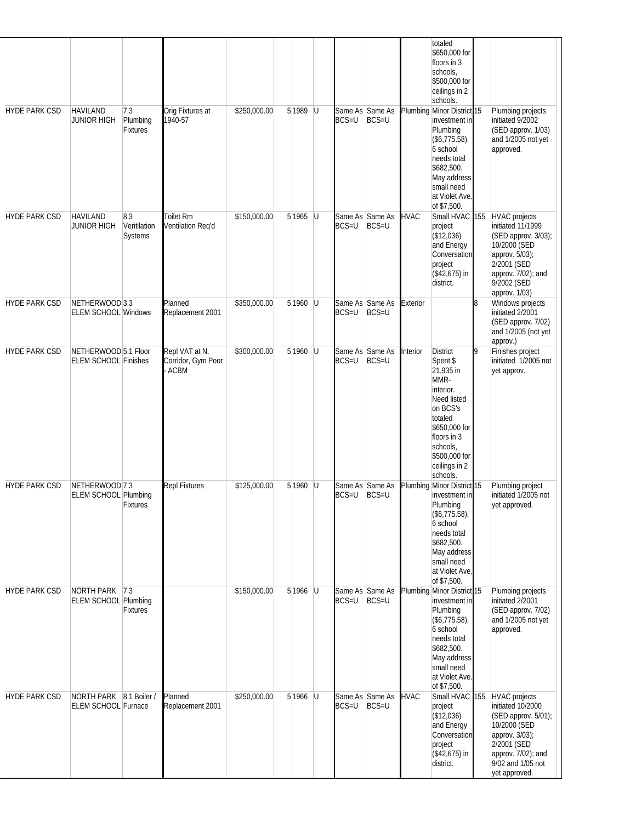| <b>HYDE PARK CSD</b> | <b>HAVILAND</b>                                       | 7.3                           | Orig Fixtures at                             | \$250,000.00 | 5 1989 U   |          | Same As Same As                 |       |             | totaled<br>\$650,000 for<br>floors in 3<br>schools,<br>\$500,000 for<br>ceilings in 2<br>schools.<br>Plumbing Minor District 15                                                               |     | Plumbing projects                                                                                                                                                             |
|----------------------|-------------------------------------------------------|-------------------------------|----------------------------------------------|--------------|------------|----------|---------------------------------|-------|-------------|-----------------------------------------------------------------------------------------------------------------------------------------------------------------------------------------------|-----|-------------------------------------------------------------------------------------------------------------------------------------------------------------------------------|
|                      | <b>JUNIOR HIGH</b>                                    | Plumbing<br><b>Fixtures</b>   | 1940-57                                      |              |            |          | $BCS = U$                       | BCS=U |             | investment in<br>Plumbing<br>(\$6,775.58),<br>6 school<br>needs total<br>\$682,500.<br>May address<br>small need<br>at Violet Ave.<br>of \$7,500.                                             |     | initiated 9/2002<br>(SED approv. 1/03)<br>and 1/2005 not yet<br>approved.                                                                                                     |
| <b>HYDE PARK CSD</b> | <b>HAVILAND</b><br>JUNIOR HIGH                        | 8.3<br>Ventilation<br>Systems | Toilet Rm<br>Ventilation Req'd               | \$150,000.00 | $5 1965$ U |          | Same As Same As<br>BCS=U        | BCS=U | <b>HVAC</b> | Small HVAC<br>project<br>(\$12,036)<br>and Energy<br>Conversation<br>project<br>$($42,675)$ in<br>district.                                                                                   | 155 | <b>HVAC</b> projects<br>initiated 11/1999<br>(SED approv. 3/03);<br>10/2000 (SED<br>approv. 5/03);<br>2/2001 (SED<br>approv. 7/02); and<br>9/2002 (SED<br>approv. 1/03)       |
| <b>HYDE PARK CSD</b> | NETHERWOOD 3.3<br><b>ELEM SCHOOL Windows</b>          |                               | Planned<br>Replacement 2001                  | \$350,000.00 | 5 1960 U   |          | Same As Same As<br>$BCS=U$      | BCS=U | Exterior    |                                                                                                                                                                                               | 8   | Windows projects<br>initiated 2/2001<br>(SED approv. 7/02)<br>and 1/2005 (not yet<br>approv.)                                                                                 |
| <b>HYDE PARK CSD</b> | NETHERWOOD 5.1 Floor<br><b>ELEM SCHOOL Finishes</b>   |                               | Repl VAT at N.<br>Corridor, Gym Poor<br>ACBM | \$300,000.00 | 5 1960     | <b>U</b> | Same As Same As<br><b>BCS=U</b> | BCS=U | Interior    | <b>District</b><br>Spent \$<br>21,935 in<br>MMR-<br>interior.<br>Need listed<br>on BCS's<br>totaled<br>\$650,000 for<br>floors in 3<br>schools,<br>\$500,000 for<br>ceilings in 2<br>schools. | 9   | Finishes project<br>initiated 1/2005 not<br>yet approv.                                                                                                                       |
| <b>HYDE PARK CSD</b> | NETHERWOOD 7.3<br><b>ELEM SCHOOL Plumbing</b>         | Fixtures                      | <b>Repl Fixtures</b>                         | \$125,000.00 | $5 1960$ U |          | Same As Same As<br>BCS=U        | BCS=U |             | Plumbing Minor District 15<br>investment in<br>Plumbing<br>$($ \$6,775.58),<br>6 school<br>needs total<br>\$682,500.<br>May address<br>small need<br>at Violet Ave.<br>of \$7,500.            |     | Plumbing project<br>initiated 1/2005 not<br>yet approved.                                                                                                                     |
| <b>HYDE PARK CSD</b> | NORTH PARK<br><b>ELEM SCHOOL Plumbing</b>             | 7.3 <br><b>Fixtures</b>       |                                              | \$150,000.00 | 5 1966 U   |          | Same As Same As<br>BCS=U        | BCS=U |             | Plumbing Minor District 15<br>investment in<br>Plumbing<br>$($ \$6,775.58),<br>6 school<br>needs total<br>\$682,500.<br>May address<br>small need<br>at Violet Ave.<br>of \$7,500.            |     | Plumbing projects<br>initiated 2/2001<br>(SED approv. 7/02)<br>and 1/2005 not yet<br>approved.                                                                                |
| <b>HYDE PARK CSD</b> | NORTH PARK 8.1 Boiler /<br><b>ELEM SCHOOL Furnace</b> |                               | Planned<br>Replacement 2001                  | \$250,000.00 | $5 1966$ U |          | Same As Same As<br>$BCS=U$      | BCS=U | <b>HVAC</b> | Small HVAC<br>project<br>(\$12,036)<br>and Energy<br>Conversation<br>project<br>$($42,675)$ in<br>district.                                                                                   | 155 | <b>HVAC</b> projects<br>initiated 10/2000<br>(SED approv. 5/01);<br>10/2000 (SED<br>approv. 3/03);<br>2/2001 (SED<br>approv. 7/02); and<br>9/02 and 1/05 not<br>yet approved. |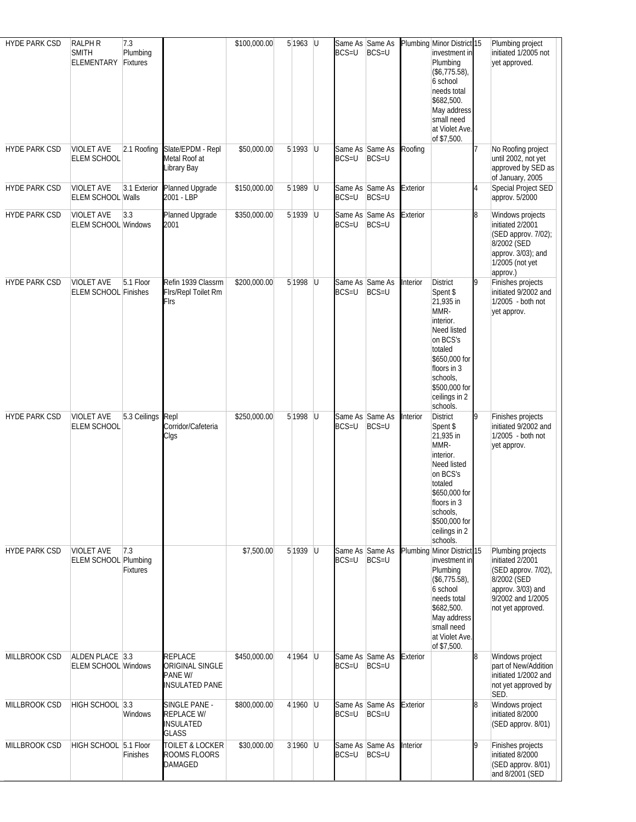| <b>HYDE PARK CSD</b> | <b>RALPH R</b><br><b>SMITH</b>                   | 7.3<br>Plumbing        |                                                                       | \$100,000.00 | $5 1963$ U   | Same As Same As<br>BCS=U     | BCS=U                      |          | Plumbing Minor District 15<br>investment in                                                                                                                                                   |   | Plumbing project<br>initiated 1/2005 not                                                                                                   |
|----------------------|--------------------------------------------------|------------------------|-----------------------------------------------------------------------|--------------|--------------|------------------------------|----------------------------|----------|-----------------------------------------------------------------------------------------------------------------------------------------------------------------------------------------------|---|--------------------------------------------------------------------------------------------------------------------------------------------|
|                      | <b>ELEMENTARY</b>                                | Fixtures               |                                                                       |              |              |                              |                            |          | Plumbing<br>$($ \$6,775.58),<br>6 school<br>needs total<br>\$682,500.<br>May address<br>small need<br>at Violet Ave.<br>of \$7,500.                                                           |   | yet approved.                                                                                                                              |
| <b>HYDE PARK CSD</b> | <b>VIOLET AVE</b><br><b>ELEM SCHOOL</b>          | 2.1 Roofing            | Slate/EPDM - Repl<br>Metal Roof at<br>Library Bay                     | \$50,000.00  | $5 1993$ U   | $BCS=U$                      | Same As Same As<br>BCS=U   | Roofing  |                                                                                                                                                                                               |   | No Roofing project<br>until 2002, not yet<br>approved by SED as<br>of January, 2005                                                        |
| <b>HYDE PARK CSD</b> | <b>VIOLET AVE</b><br><b>ELEM SCHOOL Walls</b>    | 3.1 Exterior           | Planned Upgrade<br>2001 - LBP                                         | \$150,000.00 | 5 1989 U     | Same As Same As<br>$BCS = U$ | BCS=U                      | Exterior |                                                                                                                                                                                               | 4 | Special Project SED<br>approv. 5/2000                                                                                                      |
| <b>HYDE PARK CSD</b> | <b>VIOLET AVE</b><br><b>ELEM SCHOOL Windows</b>  | 3.3                    | Planned Upgrade<br>2001                                               | \$350,000.00 | $5 1939$ U   | Same As Same As<br>BCS=U     | BCS=U                      | Exterior |                                                                                                                                                                                               | 8 | Windows projects<br>initiated 2/2001<br>(SED approv. 7/02);<br>8/2002 (SED<br>approv. 3/03); and<br>1/2005 (not yet<br>approv.)            |
| <b>HYDE PARK CSD</b> | <b>VIOLET AVE</b><br>ELEM SCHOOL Finishes        | $\overline{5.1}$ Floor | Refin 1939 Classrm<br>Firs/Repl Toilet Rm<br>Firs                     | \$200,000.00 | $5 1998$ U   | Same As Same As<br>$BCS=U$   | BCS=U                      | Interior | <b>District</b><br>Spent \$<br>21,935 in<br>MMR-<br>interior.<br>Need listed<br>on BCS's<br>totaled<br>\$650,000 for<br>floors in 3<br>schools,<br>\$500,000 for<br>ceilings in 2<br>schools. | 9 | Finishes projects<br>initiated 9/2002 and<br>1/2005 - both not<br>yet approv.                                                              |
| <b>HYDE PARK CSD</b> | <b>VIOLET AVE</b><br>ELEM SCHOOL                 | 5.3 Ceilings           | Repl<br>Corridor/Cafeteria<br>Clgs                                    | \$250,000.00 | $5 1998$ U   | BCS=U                        | Same As Same As<br>BCS=U   | Interior | District<br>Spent \$<br>21,935 in<br>MMR-<br>interior.<br>Need listed<br>on BCS's<br>totaled<br>\$650,000 for<br>floors in 3<br>schools,<br>\$500,000 for<br>ceilings in 2<br>schools.        | 9 | Finishes projects<br>initiated 9/2002 and<br>1/2005 - both not<br>yet approv.                                                              |
| <b>HYDE PARK CSD</b> | <b>VIOLET AVE</b><br><b>ELEM SCHOOL Plumbing</b> | 7.3<br><b>Fixtures</b> |                                                                       | \$7,500.00   | $5 1939$ U   | Same As Same As<br>BCS=U     | BCS=U                      |          | Plumbing Minor District 15<br>investment in<br>Plumbing<br>$($ \$6,775.58),<br>6 school<br>needs total<br>\$682,500.<br>May address<br>small need<br>at Violet Ave.<br>of \$7,500.            |   | Plumbing projects<br>initiated 2/2001<br>(SED approv. 7/02),<br>8/2002 (SED<br>approv. 3/03) and<br>9/2002 and 1/2005<br>not yet approved. |
| MILLBROOK CSD        | ALDEN PLACE 3.3<br><b>ELEM SCHOOL Windows</b>    |                        | <b>REPLACE</b><br>ORIGINAL SINGLE<br>PANE W/<br><b>INSULATED PANE</b> | \$450,000.00 | 4 1964 U     | Same As Same As<br>BCS=U     | BCS=U                      | Exterior |                                                                                                                                                                                               | 8 | Windows project<br>part of New/Addition<br>initiated 1/2002 and<br>not yet approved by<br>SED.                                             |
| MILLBROOK CSD        | HIGH SCHOOL 3.3                                  | Windows                | SINGLE PANE -<br>REPLACE W/<br><b>INSULATED</b><br><b>GLASS</b>       | \$800,000.00 | 4 1960 $ U $ | Same As Same As<br>BCS=U     | $BCS=U$                    | Exterior |                                                                                                                                                                                               | 8 | Windows project<br>initiated 8/2000<br>(SED approv. 8/01)                                                                                  |
| MILLBROOK CSD        | HIGH SCHOOL 5.1 Floor                            | Finishes               | <b>TOILET &amp; LOCKER</b><br>ROOMS FLOORS<br>DAMAGED                 | \$30,000.00  | $3 1960$ U   | BCS=U                        | Same As Same As<br>$BCS=U$ | Interior |                                                                                                                                                                                               | 9 | Finishes projects<br>initiated 8/2000<br>(SED approv. 8/01)<br>and 8/2001 (SED                                                             |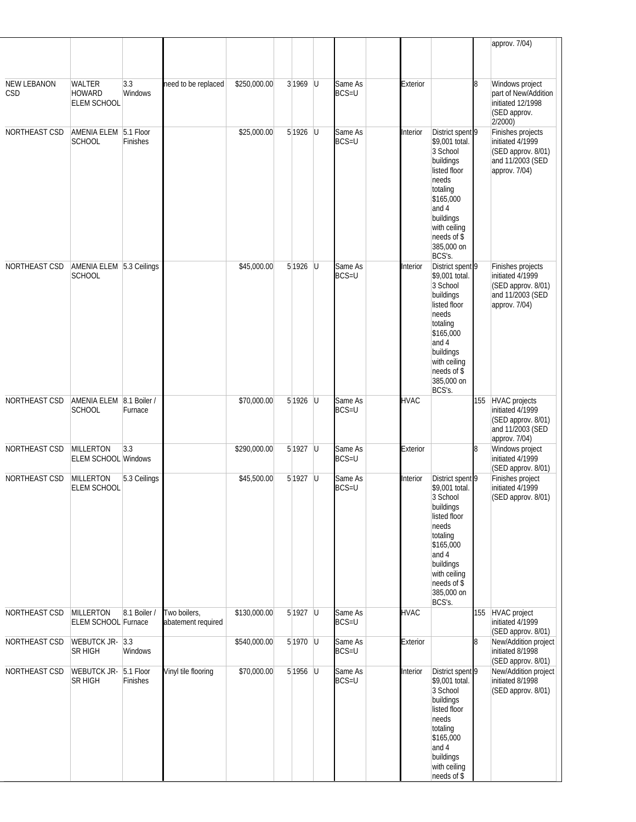|                    |                                                |                       |                                    |              |            |     |                         |             |                                                                                                                                                                                            |     | approv. 7/04)                                                                                    |
|--------------------|------------------------------------------------|-----------------------|------------------------------------|--------------|------------|-----|-------------------------|-------------|--------------------------------------------------------------------------------------------------------------------------------------------------------------------------------------------|-----|--------------------------------------------------------------------------------------------------|
| NEW LEBANON<br>CSD | WALTER<br><b>HOWARD</b><br><b>ELEM SCHOOL</b>  | 3.3<br>Windows        | need to be replaced                | \$250,000.00 | $3 1969$ U |     | Same As<br>$BCS=U$      | Exterior    |                                                                                                                                                                                            | 8   | Windows project<br>part of New/Addition<br>initiated 12/1998<br>(SED approv.<br>2/2000           |
| NORTHEAST CSD      | AMENIA ELEM 5.1 Floor<br><b>SCHOOL</b>         | Finishes              |                                    | \$25,000.00  | $5 1926$ U |     | Same As<br><b>BCS=U</b> | Interior    | District spent 9<br>\$9,001 total.<br>3 School<br>buildings<br>listed floor<br>needs<br>totaling<br>\$165,000<br>and 4<br>buildings<br>with ceiling<br>needs of \$<br>385,000 on<br>BCS's. |     | Finishes projects<br>initiated 4/1999<br>(SED approv. 8/01)<br>and 11/2003 (SED<br>approv. 7/04) |
| NORTHEAST CSD      | AMENIA ELEM 5.3 Ceilings<br><b>SCHOOL</b>      |                       |                                    | \$45,000.00  | 5 1926     | -lu | Same As<br><b>BCS=U</b> | Interior    | District spent 9<br>\$9,001 total.<br>3 School<br>buildings<br>listed floor<br>needs<br>totaling<br>\$165,000<br>and 4<br>buildings<br>with ceiling<br>needs of \$<br>385,000 on<br>BCS's. |     | Finishes projects<br>initiated 4/1999<br>(SED approv. 8/01)<br>and 11/2003 (SED<br>approv. 7/04) |
| NORTHEAST CSD      | AMENIA ELEM 8.1 Boiler /<br><b>SCHOOL</b>      | Furnace               |                                    | \$70,000.00  | 5 1926     | U   | Same As<br><b>BCS=U</b> | <b>HVAC</b> |                                                                                                                                                                                            | 155 | HVAC projects<br>initiated 4/1999<br>(SED approv. 8/01)<br>and 11/2003 (SED<br>approv. 7/04)     |
| NORTHEAST CSD      | <b>MILLERTON</b><br><b>ELEM SCHOOL Windows</b> | 3.3                   |                                    | \$290,000.00 | $5 1927$ U |     | Same As<br>$BCS=U$      | Exterior    |                                                                                                                                                                                            | 8   | Windows project<br>initiated 4/1999<br>(SED approv. 8/01)                                        |
| NORTHEAST CSD      | <b>MILLERTON</b><br><b>ELEM SCHOOL</b>         | 5.3 Ceilings          |                                    | \$45,500.00  | $5 1927$ U |     | Same As<br><b>BCS=U</b> | Interior    | District spent 9<br>\$9,001 total.<br>3 School<br>buildings<br>listed floor<br>needs<br>totaling<br>\$165,000<br>and 4<br>buildings<br>with ceiling<br>needs of \$<br>385,000 on<br>BCS's. |     | Finishes project<br>initiated 4/1999<br>(SED approv. 8/01)                                       |
| NORTHEAST CSD      | MILLERTON<br><b>ELEM SCHOOL Furnace</b>        | 8.1 Boiler /          | Two boilers,<br>abatement required | \$130,000.00 | $5 1927$ U |     | Same As<br>$BCS=U$      | <b>HVAC</b> |                                                                                                                                                                                            | 155 | HVAC project<br>initiated 4/1999<br>(SED approv. 8/01)                                           |
| NORTHEAST CSD      | WEBUTCK JR- 3.3<br><b>SR HIGH</b>              | Windows               |                                    | \$540,000.00 | $5 1970$ U |     | Same As<br><b>BCS=U</b> | Exterior    |                                                                                                                                                                                            | 8   | New/Addition project<br>initiated 8/1998<br>(SED approv. 8/01)                                   |
| NORTHEAST CSD      | <b>WEBUTCK JR-</b><br><b>SR HIGH</b>           | 5.1 Floor<br>Finishes | Vinyl tile flooring                | \$70,000.00  | $5 1956$ U |     | Same As<br><b>BCS=U</b> | Interior    | District spent 9<br>\$9,001 total.<br>3 School<br>buildings<br>listed floor<br>needs<br>totaling<br>\$165,000<br>and 4<br>buildings<br>with ceiling<br>needs of \$                         |     | New/Addition project<br>initiated 8/1998<br>(SED approv. 8/01)                                   |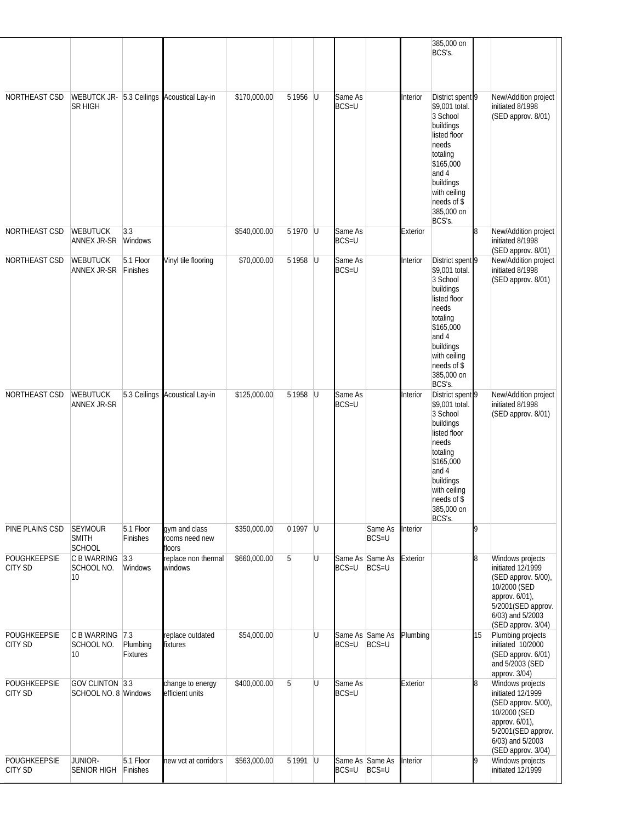|                                |                                                 |                             |                                            |              |                |   |                            |                  |          | 385,000 on<br>BCS's.                                                                                                                                                                       |    |                                                                                                                                                                |
|--------------------------------|-------------------------------------------------|-----------------------------|--------------------------------------------|--------------|----------------|---|----------------------------|------------------|----------|--------------------------------------------------------------------------------------------------------------------------------------------------------------------------------------------|----|----------------------------------------------------------------------------------------------------------------------------------------------------------------|
| NORTHEAST CSD                  | SR HIGH                                         |                             | WEBUTCK JR- 5.3 Ceilings Acoustical Lay-in | \$170,000.00 | $5 1956$ U     |   | Same As<br><b>BCS=U</b>    |                  | Interior | District spent 9<br>\$9,001 total.<br>3 School<br>buildings<br>listed floor<br>needs<br>totaling<br>\$165,000<br>and 4<br>buildings<br>with ceiling<br>needs of \$<br>385,000 on<br>BCS's. |    | New/Addition project<br>initiated 8/1998<br>(SED approv. 8/01)                                                                                                 |
| NORTHEAST CSD                  | <b>WEBUTUCK</b><br>ANNEX JR-SR                  | 3.3<br>Windows              |                                            | \$540,000.00 | $5 1970$ U     |   | Same As<br><b>BCS=U</b>    |                  | Exterior |                                                                                                                                                                                            | 8  | New/Addition project<br>initiated 8/1998<br>(SED approv. 8/01)                                                                                                 |
| NORTHEAST CSD                  | <b>WEBUTUCK</b><br>ANNEX JR-SR                  | 5.1 Floor<br>Finishes       | Vinyl tile flooring                        | \$70,000.00  | $5 1958$ U     |   | Same As<br><b>BCS=U</b>    |                  | Interior | District spent 9<br>\$9,001 total.<br>3 School<br>buildings<br>listed floor<br>needs<br>totaling<br>\$165,000<br>and 4<br>buildings<br>with ceiling<br>needs of \$<br>385,000 on<br>BCS's. |    | New/Addition project<br>initiated 8/1998<br>(SED approv. 8/01)                                                                                                 |
| NORTHEAST CSD                  | <b>WEBUTUCK</b><br>ANNEX JR-SR                  | 5.3 Ceilings                | Acoustical Lay-in                          | \$125,000.00 | $5 1958$ U     |   | Same As<br><b>BCS=U</b>    |                  | Interior | District spent 9<br>\$9,001 total.<br>3 School<br>buildings<br>listed floor<br>needs<br>totaling<br>\$165,000<br>and 4<br>buildings<br>with ceiling<br>needs of \$<br>385,000 on<br>BCS's. |    | New/Addition project<br>initiated 8/1998<br>(SED approv. 8/01)                                                                                                 |
| PINE PLAINS CSD                | <b>SEYMOUR</b><br><b>SMITH</b><br><b>SCHOOL</b> | 5.1 Floor<br>Finishes       | gym and class<br>rooms need new<br>floors  | \$350,000.00 | 0 1997 U       |   |                            | Same As<br>BCS=U | Interior |                                                                                                                                                                                            | g  |                                                                                                                                                                |
| POUGHKEEPSIE<br><b>CITY SD</b> | C B WARRING<br>SCHOOL NO.<br>10                 | 3.3<br>Windows              | replace non thermal<br>windows             | \$660,000.00 | 5 <sup>1</sup> | U | Same As Same As<br>$BCS=U$ | BCS=U            | Exterior |                                                                                                                                                                                            | 8  | Windows projects<br>initiated 12/1999<br>(SED approv. 5/00),<br>10/2000 (SED<br>approv. 6/01),<br>5/2001(SED approv.<br>6/03) and 5/2003<br>(SED approv. 3/04) |
| POUGHKEEPSIE<br><b>CITY SD</b> | C B WARRING<br>SCHOOL NO.<br>10 <sup>°</sup>    | 7.3<br>Plumbing<br>Fixtures | replace outdated<br>fixtures               | \$54,000.00  |                | U | Same As Same As<br>$BCS=U$ | BCS=U            | Plumbing |                                                                                                                                                                                            | 15 | Plumbing projects<br>initiated 10/2000<br>(SED approv. 6/01)<br>and 5/2003 (SED<br>approv. 3/04)                                                               |
| POUGHKEEPSIE<br><b>CITY SD</b> | GOV CLINTON 3.3<br>SCHOOL NO. 8 Windows         |                             | change to energy<br>efficient units        | \$400,000.00 | $\overline{5}$ | U | Same As<br><b>BCS=U</b>    |                  | Exterior |                                                                                                                                                                                            | 8  | Windows projects<br>initiated 12/1999<br>(SED approv. 5/00),<br>10/2000 (SED<br>approv. 6/01),<br>5/2001(SED approv.<br>6/03) and 5/2003<br>(SED approv. 3/04) |
| POUGHKEEPSIE<br><b>CITY SD</b> | JUNIOR-<br><b>SENIOR HIGH</b>                   | 5.1 Floor<br>Finishes       | new vct at corridors                       | \$563,000.00 | $5 1991$ U     |   | Same As Same As<br>BCS=U   | $BCS=U$          | Interior |                                                                                                                                                                                            | 9  | Windows projects<br>initiated 12/1999                                                                                                                          |